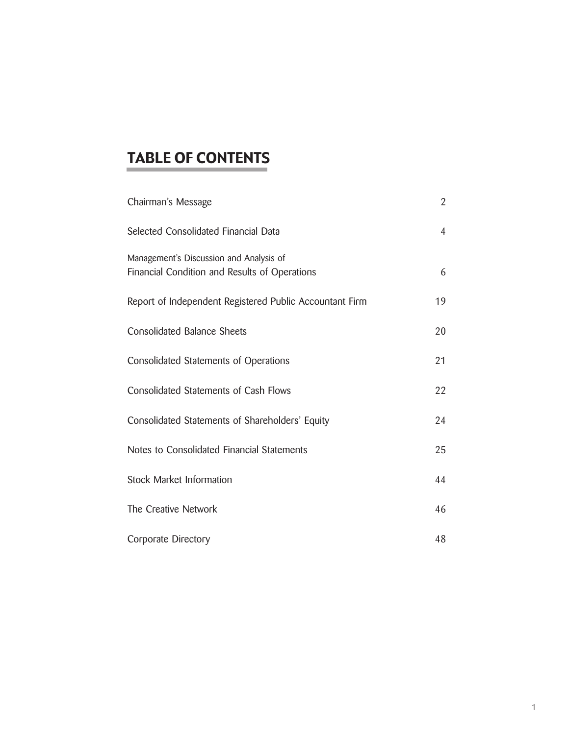# TABLE OF CONTENTS

| Chairman's Message                                                                       | $\overline{2}$ |
|------------------------------------------------------------------------------------------|----------------|
| Selected Consolidated Financial Data                                                     | $\overline{4}$ |
| Management's Discussion and Analysis of<br>Financial Condition and Results of Operations | 6              |
| Report of Independent Registered Public Accountant Firm                                  | 19             |
| <b>Consolidated Balance Sheets</b>                                                       | 20             |
| <b>Consolidated Statements of Operations</b>                                             | 21             |
| Consolidated Statements of Cash Flows                                                    | 22             |
| Consolidated Statements of Shareholders' Equity                                          | 24             |
| Notes to Consolidated Financial Statements                                               | 25             |
| <b>Stock Market Information</b>                                                          | 44             |
| The Creative Network                                                                     | 46             |
| Corporate Directory                                                                      | 48             |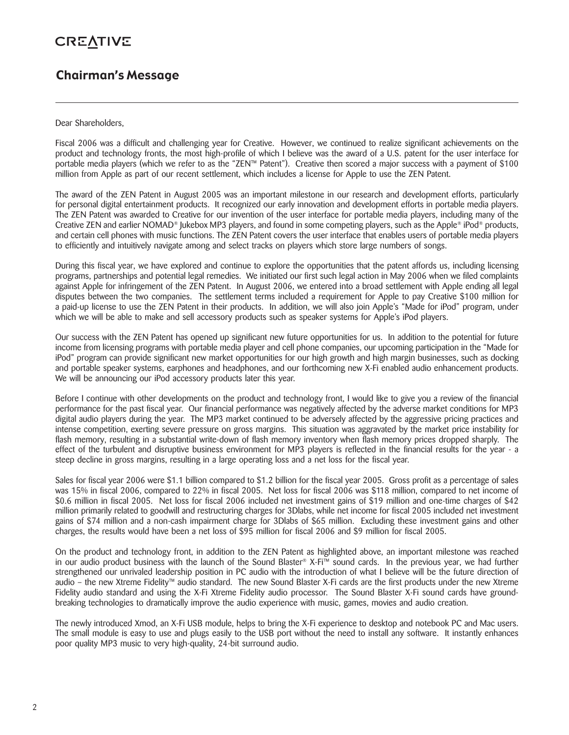# **CREATIVE**

# Chairman's Message

### Dear Shareholders,

Fiscal 2006 was a difficult and challenging year for Creative. However, we continued to realize significant achievements on the product and technology fronts, the most high-profile of which I believe was the award of a U.S. patent for the user interface for portable media players (which we refer to as the "ZEN™ Patent"). Creative then scored a major success with a payment of \$100 million from Apple as part of our recent settlement, which includes a license for Apple to use the ZEN Patent.

The award of the ZEN Patent in August 2005 was an important milestone in our research and development efforts, particularly for personal digital entertainment products. It recognized our early innovation and development efforts in portable media players. The ZEN Patent was awarded to Creative for our invention of the user interface for portable media players, including many of the Creative ZEN and earlier NOMAD<sup>®</sup> Jukebox MP3 players, and found in some competing players, such as the Apple<sup>®</sup> iPod<sup>®</sup> products, and certain cell phones with music functions. The ZEN Patent covers the user interface that enables users of portable media players to efficiently and intuitively navigate among and select tracks on players which store large numbers of songs.

During this fiscal year, we have explored and continue to explore the opportunities that the patent affords us, including licensing programs, partnerships and potential legal remedies. We initiated our first such legal action in May 2006 when we filed complaints against Apple for infringement of the ZEN Patent. In August 2006, we entered into a broad settlement with Apple ending all legal disputes between the two companies. The settlement terms included a requirement for Apple to pay Creative \$100 million for a paid-up license to use the ZEN Patent in their products. In addition, we will also join Apple's "Made for iPod" program, under which we will be able to make and sell accessory products such as speaker systems for Apple's iPod players.

Our success with the ZEN Patent has opened up significant new future opportunities for us. In addition to the potential for future income from licensing programs with portable media player and cell phone companies, our upcoming participation in the "Made for iPod" program can provide significant new market opportunities for our high growth and high margin businesses, such as docking and portable speaker systems, earphones and headphones, and our forthcoming new X-Fi enabled audio enhancement products. We will be announcing our iPod accessory products later this year.

Before I continue with other developments on the product and technology front, I would like to give you a review of the financial performance for the past fiscal year. Our financial performance was negatively affected by the adverse market conditions for MP3 digital audio players during the year. The MP3 market continued to be adversely affected by the aggressive pricing practices and intense competition, exerting severe pressure on gross margins. This situation was aggravated by the market price instability for flash memory, resulting in a substantial write-down of flash memory inventory when flash memory prices dropped sharply. The effect of the turbulent and disruptive business environment for MP3 players is reflected in the financial results for the year - a steep decline in gross margins, resulting in a large operating loss and a net loss for the fiscal year.

Sales for fiscal year 2006 were \$1.1 billion compared to \$1.2 billion for the fiscal year 2005. Gross profit as a percentage of sales was 15% in fiscal 2006, compared to 22% in fiscal 2005. Net loss for fiscal 2006 was \$118 million, compared to net income of \$0.6 million in fiscal 2005. Net loss for fiscal 2006 included net investment gains of \$19 million and one-time charges of \$42 million primarily related to goodwill and restructuring charges for 3Dlabs, while net income for fiscal 2005 included net investment gains of \$74 million and a non-cash impairment charge for 3Dlabs of \$65 million. Excluding these investment gains and other charges, the results would have been a net loss of \$95 million for fiscal 2006 and \$9 million for fiscal 2005.

On the product and technology front, in addition to the ZEN Patent as highlighted above, an important milestone was reached in our audio product business with the launch of the Sound Blaster® X-Fi™ sound cards. In the previous year, we had further strengthened our unrivaled leadership position in PC audio with the introduction of what I believe will be the future direction of audio – the new Xtreme Fidelity™ audio standard. The new Sound Blaster X-Fi cards are the first products under the new Xtreme Fidelity audio standard and using the X-Fi Xtreme Fidelity audio processor. The Sound Blaster X-Fi sound cards have groundbreaking technologies to dramatically improve the audio experience with music, games, movies and audio creation.

The newly introduced Xmod, an X-Fi USB module, helps to bring the X-Fi experience to desktop and notebook PC and Mac users. The small module is easy to use and plugs easily to the USB port without the need to install any software. It instantly enhances poor quality MP3 music to very high-quality, 24-bit surround audio.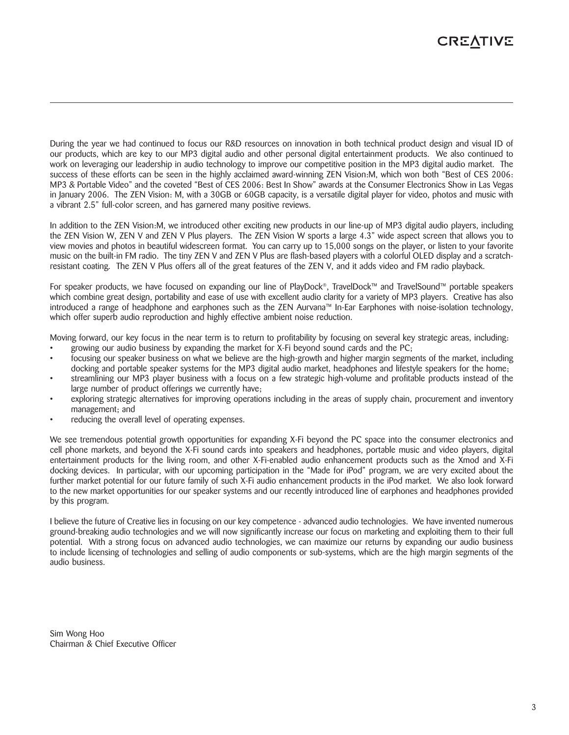# **CREATIVE**

During the year we had continued to focus our R&D resources on innovation in both technical product design and visual ID of our products, which are key to our MP3 digital audio and other personal digital entertainment products. We also continued to work on leveraging our leadership in audio technology to improve our competitive position in the MP3 digital audio market. The success of these efforts can be seen in the highly acclaimed award-winning ZEN Vision:M, which won both "Best of CES 2006: MP3 & Portable Video" and the coveted "Best of CES 2006: Best In Show" awards at the Consumer Electronics Show in Las Vegas in January 2006. The ZEN Vision: M, with a 30GB or 60GB capacity, is a versatile digital player for video, photos and music with a vibrant 2.5" full-color screen, and has garnered many positive reviews.

In addition to the ZEN Vision:M, we introduced other exciting new products in our line-up of MP3 digital audio players, including the ZEN Vision W, ZEN V and ZEN V Plus players. The ZEN Vision W sports a large 4.3" wide aspect screen that allows you to view movies and photos in beautiful widescreen format. You can carry up to 15,000 songs on the player, or listen to your favorite music on the built-in FM radio. The tiny ZEN V and ZEN V Plus are flash-based players with a colorful OLED display and a scratchresistant coating. The ZEN V Plus offers all of the great features of the ZEN V, and it adds video and FM radio playback.

For speaker products, we have focused on expanding our line of PlayDock®, TravelDock™ and TravelSound™ portable speakers which combine great design, portability and ease of use with excellent audio clarity for a variety of MP3 players. Creative has also introduced a range of headphone and earphones such as the ZEN Aurvana™ In-Ear Earphones with noise-isolation technology, which offer superb audio reproduction and highly effective ambient noise reduction.

Moving forward, our key focus in the near term is to return to profitability by focusing on several key strategic areas, including:

- growing our audio business by expanding the market for X-Fi beyond sound cards and the  $PC$ ;
- focusing our speaker business on what we believe are the high-growth and higher margin segments of the market, including docking and portable speaker systems for the MP3 digital audio market, headphones and lifestyle speakers for the home;
- streamlining our MP3 player business with a focus on a few strategic high-volume and profitable products instead of the large number of product offerings we currently have;
- exploring strategic alternatives for improving operations including in the areas of supply chain, procurement and inventory management; and
- reducing the overall level of operating expenses.

We see tremendous potential growth opportunities for expanding X-Fi beyond the PC space into the consumer electronics and cell phone markets, and beyond the X-Fi sound cards into speakers and headphones, portable music and video players, digital entertainment products for the living room, and other X-Fi-enabled audio enhancement products such as the Xmod and X-Fi docking devices. In particular, with our upcoming participation in the "Made for iPod" program, we are very excited about the further market potential for our future family of such X-Fi audio enhancement products in the iPod market. We also look forward to the new market opportunities for our speaker systems and our recently introduced line of earphones and headphones provided by this program.

I believe the future of Creative lies in focusing on our key competence - advanced audio technologies. We have invented numerous ground-breaking audio technologies and we will now significantly increase our focus on marketing and exploiting them to their full potential. With a strong focus on advanced audio technologies, we can maximize our returns by expanding our audio business to include licensing of technologies and selling of audio components or sub-systems, which are the high margin segments of the audio business.

Sim Wong Hoo Chairman & Chief Executive Officer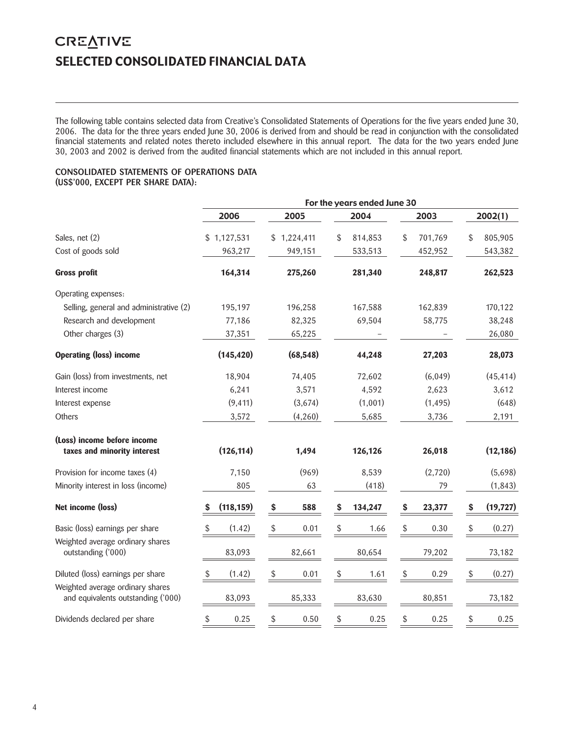# **CREATIVE** SELECTED CONSOLIDATED FINANCIAL DATA

The following table contains selected data from Creative's Consolidated Statements of Operations for the five years ended June 30, 2006. The data for the three years ended June 30, 2006 is derived from and should be read in conjunction with the consolidated financial statements and related notes thereto included elsewhere in this annual report. The data for the two years ended June 30, 2003 and 2002 is derived from the audited financial statements which are not included in this annual report.

### CONSOLIDATED STATEMENTS OF OPERATIONS DATA (US\$'000, EXCEPT PER SHARE DATA):

|                                                                        | For the years ended June 30 |             |               |                        |                 |  |
|------------------------------------------------------------------------|-----------------------------|-------------|---------------|------------------------|-----------------|--|
|                                                                        | 2006                        | 2005        | 2004          | 2003                   | 2002(1)         |  |
| Sales, net (2)                                                         | \$1,127,531                 | \$1,224,411 | \$<br>814,853 | \$<br>701,769          | \$<br>805,905   |  |
| Cost of goods sold                                                     | 963,217                     | 949,151     | 533,513       | 452,952                | 543,382         |  |
| <b>Gross profit</b>                                                    | 164,314                     | 275,260     | 281,340       | 248,817                | 262,523         |  |
| Operating expenses:                                                    |                             |             |               |                        |                 |  |
| Selling, general and administrative (2)                                | 195,197                     | 196,258     | 167,588       | 162,839                | 170,122         |  |
| Research and development                                               | 77,186                      | 82,325      | 69,504        | 58,775                 | 38,248          |  |
| Other charges (3)                                                      | 37,351                      | 65,225      |               |                        | 26,080          |  |
| <b>Operating (loss) income</b>                                         | (145, 420)                  | (68, 548)   | 44,248        | 27,203                 | 28,073          |  |
| Gain (loss) from investments, net                                      | 18,904                      | 74,405      | 72,602        | (6,049)                | (45, 414)       |  |
| Interest income                                                        | 6,241                       | 3,571       | 4,592         | 2,623                  | 3,612           |  |
| Interest expense                                                       | (9, 411)                    | (3,674)     | (1,001)       | (1, 495)               | (648)           |  |
| <b>Others</b>                                                          | 3,572                       | (4,260)     | 5,685         | 3,736                  | 2,191           |  |
| (Loss) income before income<br>taxes and minority interest             | (126, 114)                  | 1,494       | 126,126       | 26,018                 | (12, 186)       |  |
| Provision for income taxes (4)                                         | 7,150                       | (969)       | 8,539         | (2,720)                | (5,698)         |  |
| Minority interest in loss (income)                                     | 805                         | 63          | (418)         | 79                     | (1, 843)        |  |
| Net income (loss)                                                      | (118, 159)<br>S             | 588<br>\$   | 134,247<br>S  | \$<br>23,377           | (19, 727)<br>\$ |  |
| Basic (loss) earnings per share                                        | (1.42)<br>S                 | \$<br>0.01  | \$<br>1.66    | \$<br>0.30             | (0.27)<br>\$    |  |
| Weighted average ordinary shares<br>outstanding ('000)                 | 83,093                      | 82,661      | 80,654        | 79,202                 | 73,182          |  |
| Diluted (loss) earnings per share                                      | (1.42)<br>\$                | \$<br>0.01  | $\$$<br>1.61  | $$\mathbb{S}$$<br>0.29 | (0.27)<br>\$    |  |
| Weighted average ordinary shares<br>and equivalents outstanding ('000) | 83,093                      | 85,333      | 83,630        | 80,851                 | 73,182          |  |
| Dividends declared per share                                           | $\$$<br>0.25                | \$<br>0.50  | \$<br>0.25    | \$<br>0.25             | \$<br>0.25      |  |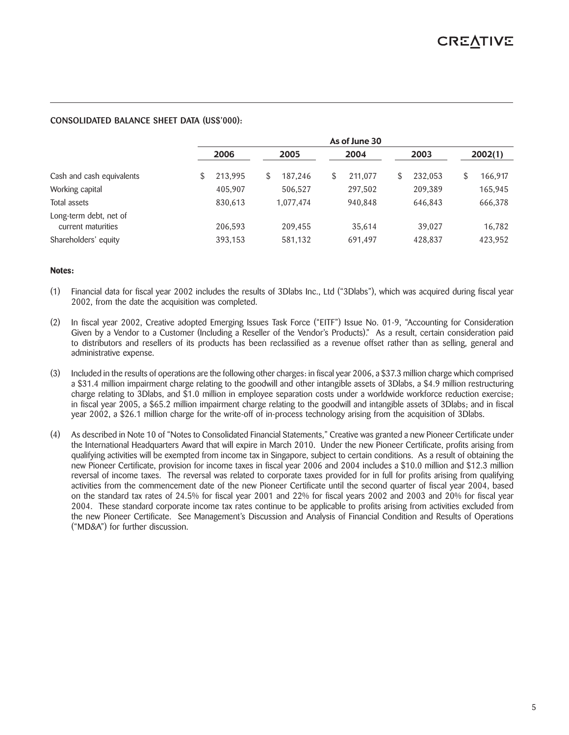### CONSOLIDATED BALANCE SHEET DATA (US\$'000):

|                                              | As of June 30 |         |  |           |    |         |    |         |         |
|----------------------------------------------|---------------|---------|--|-----------|----|---------|----|---------|---------|
|                                              |               | 2006    |  | 2005      |    | 2004    |    | 2003    | 2002(1) |
| Cash and cash equivalents                    | \$            | 213,995 |  | 187,246   | \$ | 211,077 | \$ | 232,053 | 166,917 |
| Working capital                              |               | 405,907 |  | 506,527   |    | 297,502 |    | 209,389 | 165,945 |
| Total assets                                 |               | 830,613 |  | 1,077,474 |    | 940,848 |    | 646,843 | 666,378 |
| Long-term debt, net of<br>current maturities |               | 206,593 |  | 209,455   |    | 35,614  |    | 39,027  | 16,782  |
| Shareholders' equity                         |               | 393,153 |  | 581,132   |    | 691,497 |    | 428,837 | 423,952 |

### **Notes:**

- (1) Financial data for fiscal year 2002 includes the results of 3Dlabs Inc., Ltd ("3Dlabs"), which was acquired during fiscal year 2002, from the date the acquisition was completed.
- (2) In fiscal year 2002, Creative adopted Emerging Issues Task Force ("EITF") Issue No. 01-9, "Accounting for Consideration Given by a Vendor to a Customer (Including a Reseller of the Vendor's Products)." As a result, certain consideration paid to distributors and resellers of its products has been reclassified as a revenue offset rather than as selling, general and administrative expense.
- (3) Included in the results of operations are the following other charges: in fiscal year 2006, a \$37.3 million charge which comprised a \$31.4 million impairment charge relating to the goodwill and other intangible assets of 3Dlabs, a \$4.9 million restructuring charge relating to 3Dlabs, and \$1.0 million in employee separation costs under a worldwide workforce reduction exercise; in fiscal year 2005, a \$65.2 million impairment charge relating to the goodwill and intangible assets of 3Dlabs; and in fiscal year 2002, a \$26.1 million charge for the write-off of in-process technology arising from the acquisition of 3Dlabs.
- (4) As described in Note 10 of "Notes to Consolidated Financial Statements," Creative was granted a new Pioneer Certificate under the International Headquarters Award that will expire in March 2010. Under the new Pioneer Certificate, profits arising from qualifying activities will be exempted from income tax in Singapore, subject to certain conditions. As a result of obtaining the new Pioneer Certificate, provision for income taxes in fiscal year 2006 and 2004 includes a \$10.0 million and \$12.3 million reversal of income taxes. The reversal was related to corporate taxes provided for in full for profits arising from qualifying activities from the commencement date of the new Pioneer Certificate until the second quarter of fiscal year 2004, based on the standard tax rates of 24.5% for fiscal year 2001 and 22% for fiscal years 2002 and 2003 and 20% for fiscal year 2004. These standard corporate income tax rates continue to be applicable to profits arising from activities excluded from the new Pioneer Certificate. See Management's Discussion and Analysis of Financial Condition and Results of Operations ("MD&A") for further discussion.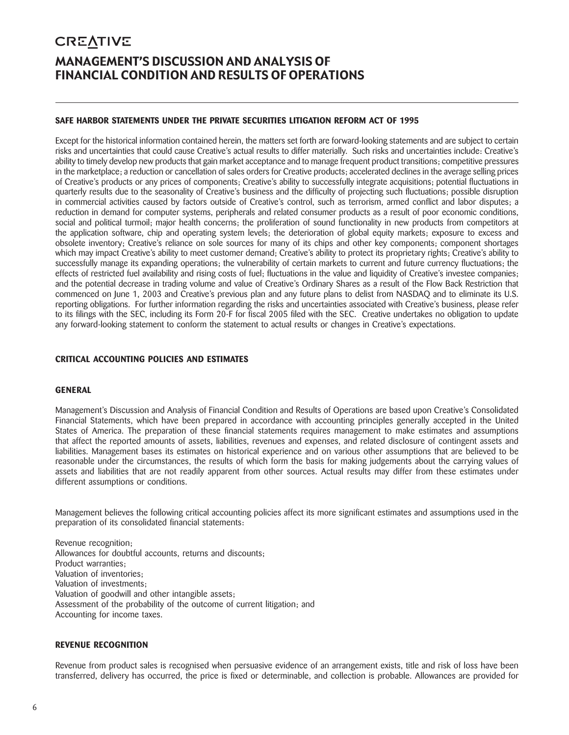# **CREATIVE** MANAGEMENT'S DISCUSSION AND ANALYSIS OF FINANCIAL CONDITION AND RESULTS OF OPERATIONS

# **SAFE HARBOR STATEMENTS UNDER THE PRIVATE SECURITIES LITIGATION REFORM ACT OF 1995**

Except for the historical information contained herein, the matters set forth are forward-looking statements and are subject to certain risks and uncertainties that could cause Creative's actual results to differ materially. Such risks and uncertainties include: Creative's ability to timely develop new products that gain market acceptance and to manage frequent product transitions; competitive pressures in the marketplace; a reduction or cancellation of sales orders for Creative products; accelerated declines in the average selling prices of Creative's products or any prices of components; Creative's ability to successfully integrate acquisitions; potential fluctuations in quarterly results due to the seasonality of Creative's business and the difficulty of projecting such fluctuations; possible disruption in commercial activities caused by factors outside of Creative's control, such as terrorism, armed conflict and labor disputes; a reduction in demand for computer systems, peripherals and related consumer products as a result of poor economic conditions, social and political turmoil; major health concerns; the proliferation of sound functionality in new products from competitors at the application software, chip and operating system levels; the deterioration of global equity markets; exposure to excess and obsolete inventory; Creative's reliance on sole sources for many of its chips and other key components; component shortages which may impact Creative's ability to meet customer demand; Creative's ability to protect its proprietary rights; Creative's ability to successfully manage its expanding operations; the vulnerability of certain markets to current and future currency fluctuations; the effects of restricted fuel availability and rising costs of fuel; fluctuations in the value and liquidity of Creative's investee companies; and the potential decrease in trading volume and value of Creative's Ordinary Shares as a result of the Flow Back Restriction that commenced on June 1, 2003 and Creative's previous plan and any future plans to delist from NASDAQ and to eliminate its U.S. reporting obligations. For further information regarding the risks and uncertainties associated with Creative's business, please refer to its filings with the SEC, including its Form 20-F for fiscal 2005 filed with the SEC. Creative undertakes no obligation to update any forward-looking statement to conform the statement to actual results or changes in Creative's expectations.

# **CRITICAL ACCOUNTING POLICIES AND ESTIMATES**

### **GENERAL**

Management's Discussion and Analysis of Financial Condition and Results of Operations are based upon Creative's Consolidated Financial Statements, which have been prepared in accordance with accounting principles generally accepted in the United States of America. The preparation of these financial statements requires management to make estimates and assumptions that affect the reported amounts of assets, liabilities, revenues and expenses, and related disclosure of contingent assets and liabilities. Management bases its estimates on historical experience and on various other assumptions that are believed to be reasonable under the circumstances, the results of which form the basis for making judgements about the carrying values of assets and liabilities that are not readily apparent from other sources. Actual results may differ from these estimates under different assumptions or conditions.

Management believes the following critical accounting policies affect its more significant estimates and assumptions used in the preparation of its consolidated financial statements:

Revenue recognition; Allowances for doubtful accounts, returns and discounts; Product warranties; Valuation of inventories; Valuation of investments; Valuation of goodwill and other intangible assets; Assessment of the probability of the outcome of current litigation; and Accounting for income taxes.

### **REVENUE RECOGNITION**

Revenue from product sales is recognised when persuasive evidence of an arrangement exists, title and risk of loss have been transferred, delivery has occurred, the price is fixed or determinable, and collection is probable. Allowances are provided for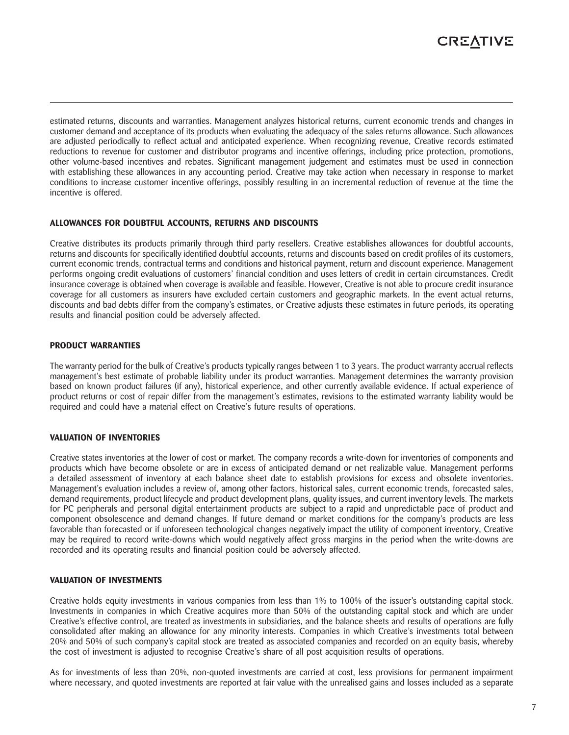

estimated returns, discounts and warranties. Management analyzes historical returns, current economic trends and changes in customer demand and acceptance of its products when evaluating the adequacy of the sales returns allowance. Such allowances are adjusted periodically to reflect actual and anticipated experience. When recognizing revenue, Creative records estimated reductions to revenue for customer and distributor programs and incentive offerings, including price protection, promotions, other volume-based incentives and rebates. Significant management judgement and estimates must be used in connection with establishing these allowances in any accounting period. Creative may take action when necessary in response to market conditions to increase customer incentive offerings, possibly resulting in an incremental reduction of revenue at the time the incentive is offered.

### **ALLOWANCES FOR DOUBTFUL ACCOUNTS, RETURNS AND DISCOUNTS**

Creative distributes its products primarily through third party resellers. Creative establishes allowances for doubtful accounts, returns and discounts for specifically identified doubtful accounts, returns and discounts based on credit profiles of its customers, current economic trends, contractual terms and conditions and historical payment, return and discount experience. Management performs ongoing credit evaluations of customers' financial condition and uses letters of credit in certain circumstances. Credit insurance coverage is obtained when coverage is available and feasible. However, Creative is not able to procure credit insurance coverage for all customers as insurers have excluded certain customers and geographic markets. In the event actual returns, discounts and bad debts differ from the company's estimates, or Creative adjusts these estimates in future periods, its operating results and financial position could be adversely affected.

#### **PRODUCT WARRANTIES**

The warranty period for the bulk of Creative's products typically ranges between 1 to 3 years. The product warranty accrual reflects management's best estimate of probable liability under its product warranties. Management determines the warranty provision based on known product failures (if any), historical experience, and other currently available evidence. If actual experience of product returns or cost of repair differ from the management's estimates, revisions to the estimated warranty liability would be required and could have a material effect on Creative's future results of operations.

#### **VALUATION OF INVENTORIES**

Creative states inventories at the lower of cost or market. The company records a write-down for inventories of components and products which have become obsolete or are in excess of anticipated demand or net realizable value. Management performs a detailed assessment of inventory at each balance sheet date to establish provisions for excess and obsolete inventories. Management's evaluation includes a review of, among other factors, historical sales, current economic trends, forecasted sales, demand requirements, product lifecycle and product development plans, quality issues, and current inventory levels. The markets for PC peripherals and personal digital entertainment products are subject to a rapid and unpredictable pace of product and component obsolescence and demand changes. If future demand or market conditions for the company's products are less favorable than forecasted or if unforeseen technological changes negatively impact the utility of component inventory, Creative may be required to record write-downs which would negatively affect gross margins in the period when the write-downs are recorded and its operating results and financial position could be adversely affected.

#### **VALUATION OF INVESTMENTS**

Creative holds equity investments in various companies from less than 1% to 100% of the issuer's outstanding capital stock. Investments in companies in which Creative acquires more than 50% of the outstanding capital stock and which are under Creative's effective control, are treated as investments in subsidiaries, and the balance sheets and results of operations are fully consolidated after making an allowance for any minority interests. Companies in which Creative's investments total between 20% and 50% of such company's capital stock are treated as associated companies and recorded on an equity basis, whereby the cost of investment is adjusted to recognise Creative's share of all post acquisition results of operations.

As for investments of less than 20%, non-quoted investments are carried at cost, less provisions for permanent impairment where necessary, and quoted investments are reported at fair value with the unrealised gains and losses included as a separate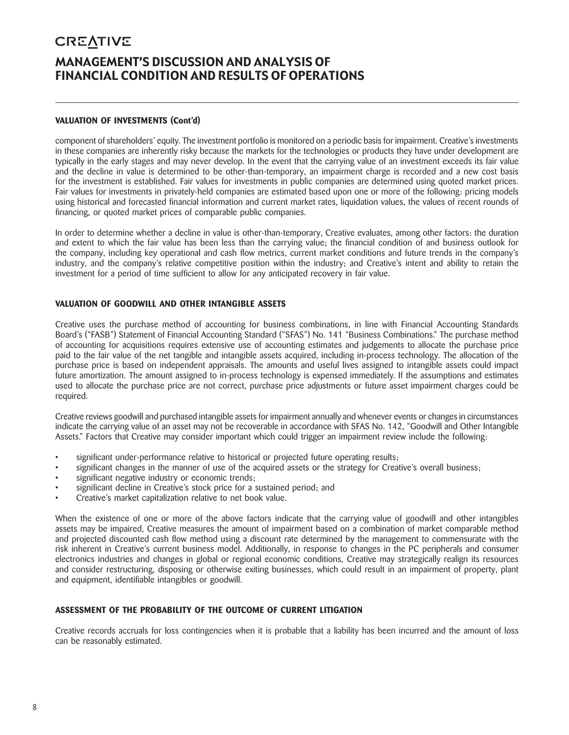# **CREATIVE** MANAGEMENT'S DISCUSSION AND ANALYSIS OF FINANCIAL CONDITION AND RESULTS OF OPERATIONS

# **VALUATION OF INVESTMENTS (Cont'd)**

component of shareholders' equity. The investment portfolio is monitored on a periodic basis for impairment. Creative's investments in these companies are inherently risky because the markets for the technologies or products they have under development are typically in the early stages and may never develop. In the event that the carrying value of an investment exceeds its fair value and the decline in value is determined to be other-than-temporary, an impairment charge is recorded and a new cost basis for the investment is established. Fair values for investments in public companies are determined using quoted market prices. Fair values for investments in privately-held companies are estimated based upon one or more of the following: pricing models using historical and forecasted financial information and current market rates, liquidation values, the values of recent rounds of financing, or quoted market prices of comparable public companies.

In order to determine whether a decline in value is other-than-temporary, Creative evaluates, among other factors: the duration and extent to which the fair value has been less than the carrying value; the financial condition of and business outlook for the company, including key operational and cash flow metrics, current market conditions and future trends in the company's industry, and the company's relative competitive position within the industry; and Creative's intent and ability to retain the investment for a period of time sufficient to allow for any anticipated recovery in fair value.

### **VALUATION OF GOODWILL AND OTHER INTANGIBLE ASSETS**

Creative uses the purchase method of accounting for business combinations, in line with Financial Accounting Standards Board's ("FASB") Statement of Financial Accounting Standard ("SFAS") No. 141 "Business Combinations." The purchase method of accounting for acquisitions requires extensive use of accounting estimates and judgements to allocate the purchase price paid to the fair value of the net tangible and intangible assets acquired, including in-process technology. The allocation of the purchase price is based on independent appraisals. The amounts and useful lives assigned to intangible assets could impact future amortization. The amount assigned to in-process technology is expensed immediately. If the assumptions and estimates used to allocate the purchase price are not correct, purchase price adjustments or future asset impairment charges could be required.

Creative reviews goodwill and purchased intangible assets for impairment annually and whenever events or changes in circumstances indicate the carrying value of an asset may not be recoverable in accordance with SFAS No. 142, "Goodwill and Other Intangible Assets." Factors that Creative may consider important which could trigger an impairment review include the following:

- significant under-performance relative to historical or projected future operating results;
- significant changes in the manner of use of the acquired assets or the strategy for Creative's overall business;
- significant negative industry or economic trends;
- significant decline in Creative's stock price for a sustained period; and
- Creative's market capitalization relative to net book value.

When the existence of one or more of the above factors indicate that the carrying value of goodwill and other intangibles assets may be impaired, Creative measures the amount of impairment based on a combination of market comparable method and projected discounted cash flow method using a discount rate determined by the management to commensurate with the risk inherent in Creative's current business model. Additionally, in response to changes in the PC peripherals and consumer electronics industries and changes in global or regional economic conditions, Creative may strategically realign its resources and consider restructuring, disposing or otherwise exiting businesses, which could result in an impairment of property, plant and equipment, identifiable intangibles or goodwill.

### **ASSESSMENT OF THE PROBABILITY OF THE OUTCOME OF CURRENT LITIGATION**

Creative records accruals for loss contingencies when it is probable that a liability has been incurred and the amount of loss can be reasonably estimated.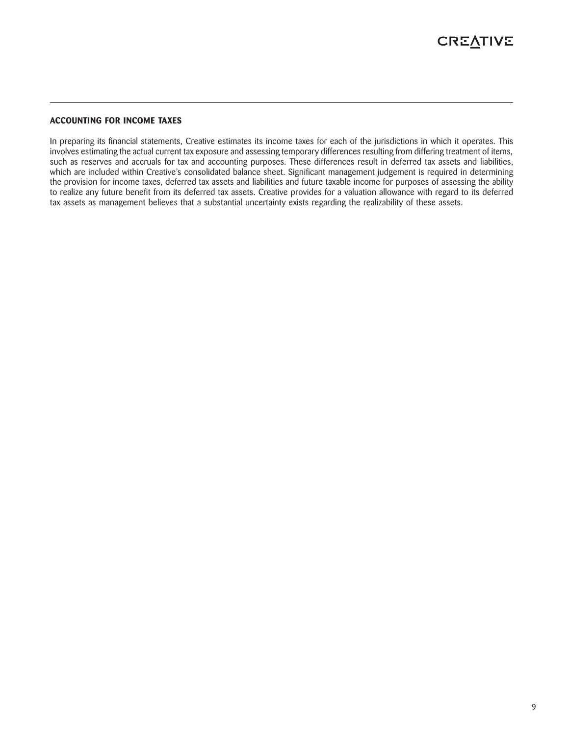### **ACCOUNTING FOR INCOME TAXES**

In preparing its financial statements, Creative estimates its income taxes for each of the jurisdictions in which it operates. This involves estimating the actual current tax exposure and assessing temporary differences resulting from differing treatment of items, such as reserves and accruals for tax and accounting purposes. These differences result in deferred tax assets and liabilities, which are included within Creative's consolidated balance sheet. Significant management judgement is required in determining the provision for income taxes, deferred tax assets and liabilities and future taxable income for purposes of assessing the ability to realize any future benefit from its deferred tax assets. Creative provides for a valuation allowance with regard to its deferred tax assets as management believes that a substantial uncertainty exists regarding the realizability of these assets.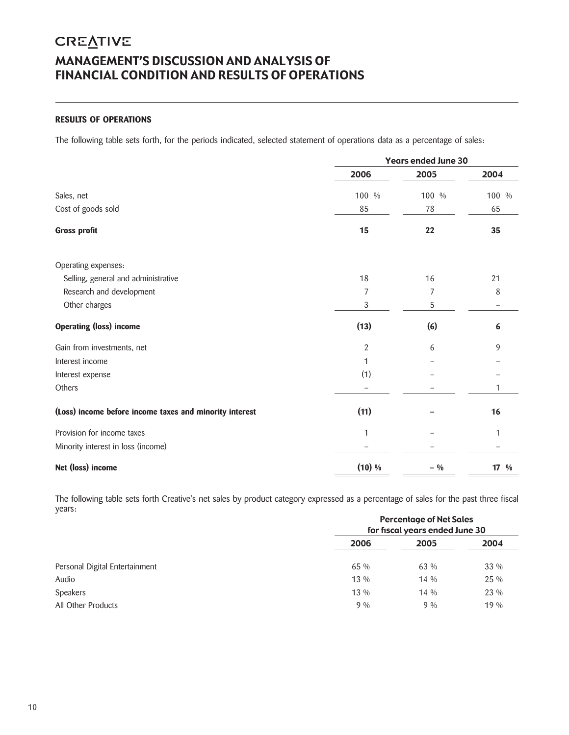# **CREATIVE** MANAGEMENT'S DISCUSSION AND ANALYSIS OF FINANCIAL CONDITION AND RESULTS OF OPERATIONS

# **RESULTS OF OPERATIONS**

The following table sets forth, for the periods indicated, selected statement of operations data as a percentage of sales:

|                                                         |        | <b>Years ended June 30</b> |                  |  |  |  |
|---------------------------------------------------------|--------|----------------------------|------------------|--|--|--|
|                                                         | 2006   | 2005                       | 2004             |  |  |  |
| Sales, net                                              | 100 %  | 100 %                      | 100 %            |  |  |  |
| Cost of goods sold                                      | 85     | 78                         | 65               |  |  |  |
| <b>Gross profit</b>                                     | 15     | 22                         | 35               |  |  |  |
| Operating expenses:                                     |        |                            |                  |  |  |  |
| Selling, general and administrative                     | 18     | 16                         | 21               |  |  |  |
| Research and development                                | 7      | 7                          | 8                |  |  |  |
| Other charges                                           | 3      | 5                          |                  |  |  |  |
| <b>Operating (loss) income</b>                          | (13)   | (6)                        | 6                |  |  |  |
| Gain from investments, net                              | 2      | 6                          | 9                |  |  |  |
| Interest income                                         | 1      |                            |                  |  |  |  |
| Interest expense                                        | (1)    |                            |                  |  |  |  |
| Others                                                  |        |                            | 1                |  |  |  |
| (Loss) income before income taxes and minority interest | (11)   |                            | 16               |  |  |  |
| Provision for income taxes                              | 1      |                            | 1                |  |  |  |
| Minority interest in loss (income)                      |        |                            |                  |  |  |  |
| Net (loss) income                                       | (10) % | $-9/0$                     | $17 \frac{9}{6}$ |  |  |  |

The following table sets forth Creative's net sales by product category expressed as a percentage of sales for the past three fiscal years:

|                                | <b>Percentage of Net Sales</b><br>for fiscal years ended June 30 |        |      |  |  |
|--------------------------------|------------------------------------------------------------------|--------|------|--|--|
|                                | 2006                                                             | 2005   | 2004 |  |  |
| Personal Digital Entertainment | 65 %                                                             | 63 %   | 33 % |  |  |
| Audio                          | $13\%$                                                           | $14\%$ | 25 % |  |  |
| <b>Speakers</b>                | $13\%$                                                           | $14\%$ | 23 % |  |  |
| All Other Products             | 9%                                                               | $9\%$  | 19%  |  |  |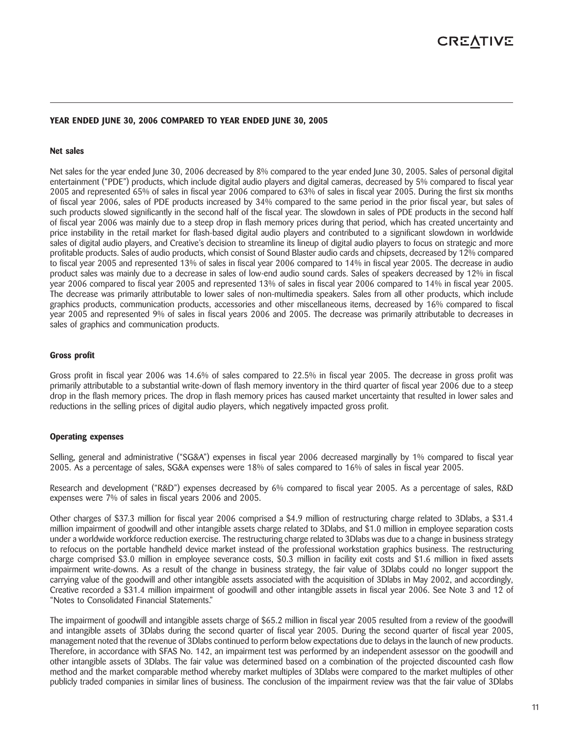### **YEAR ENDED JUNE 30, 2006 COMPARED TO YEAR ENDED JUNE 30, 2005**

#### **Net sales**

Net sales for the year ended June 30, 2006 decreased by 8% compared to the year ended June 30, 2005. Sales of personal digital entertainment ("PDE") products, which include digital audio players and digital cameras, decreased by 5% compared to fiscal year 2005 and represented 65% of sales in fiscal year 2006 compared to 63% of sales in fiscal year 2005. During the first six months of fiscal year 2006, sales of PDE products increased by 34% compared to the same period in the prior fiscal year, but sales of such products slowed significantly in the second half of the fiscal year. The slowdown in sales of PDE products in the second half of fiscal year 2006 was mainly due to a steep drop in flash memory prices during that period, which has created uncertainty and price instability in the retail market for flash-based digital audio players and contributed to a significant slowdown in worldwide sales of digital audio players, and Creative's decision to streamline its lineup of digital audio players to focus on strategic and more profitable products. Sales of audio products, which consist of Sound Blaster audio cards and chipsets, decreased by 12% compared to fiscal year 2005 and represented 13% of sales in fiscal year 2006 compared to 14% in fiscal year 2005. The decrease in audio product sales was mainly due to a decrease in sales of low-end audio sound cards. Sales of speakers decreased by 12% in fiscal year 2006 compared to fiscal year 2005 and represented 13% of sales in fiscal year 2006 compared to 14% in fiscal year 2005. The decrease was primarily attributable to lower sales of non-multimedia speakers. Sales from all other products, which include graphics products, communication products, accessories and other miscellaneous items, decreased by 16% compared to fiscal year 2005 and represented 9% of sales in fiscal years 2006 and 2005. The decrease was primarily attributable to decreases in sales of graphics and communication products.

#### **Gross profit**

Gross profit in fiscal year 2006 was 14.6% of sales compared to 22.5% in fiscal year 2005. The decrease in gross profit was primarily attributable to a substantial write-down of flash memory inventory in the third quarter of fiscal year 2006 due to a steep drop in the flash memory prices. The drop in flash memory prices has caused market uncertainty that resulted in lower sales and reductions in the selling prices of digital audio players, which negatively impacted gross profit.

#### **Operating expenses**

Selling, general and administrative ("SG&A") expenses in fiscal year 2006 decreased marginally by 1% compared to fiscal year 2005. As a percentage of sales, SG&A expenses were 18% of sales compared to 16% of sales in fiscal year 2005.

Research and development ("R&D") expenses decreased by 6% compared to fiscal year 2005. As a percentage of sales, R&D expenses were 7% of sales in fiscal years 2006 and 2005.

Other charges of \$37.3 million for fiscal year 2006 comprised a \$4.9 million of restructuring charge related to 3Dlabs, a \$31.4 million impairment of goodwill and other intangible assets charge related to 3Dlabs, and \$1.0 million in employee separation costs under a worldwide workforce reduction exercise. The restructuring charge related to 3Dlabs was due to a change in business strategy to refocus on the portable handheld device market instead of the professional workstation graphics business. The restructuring charge comprised \$3.0 million in employee severance costs, \$0.3 million in facility exit costs and \$1.6 million in fixed assets impairment write-downs. As a result of the change in business strategy, the fair value of 3Dlabs could no longer support the carrying value of the goodwill and other intangible assets associated with the acquisition of 3Dlabs in May 2002, and accordingly, Creative recorded a \$31.4 million impairment of goodwill and other intangible assets in fiscal year 2006. See Note 3 and 12 of "Notes to Consolidated Financial Statements."

The impairment of goodwill and intangible assets charge of \$65.2 million in fiscal year 2005 resulted from a review of the goodwill and intangible assets of 3Dlabs during the second quarter of fiscal year 2005. During the second quarter of fiscal year 2005, management noted that the revenue of 3Dlabs continued to perform below expectations due to delays in the launch of new products. Therefore, in accordance with SFAS No. 142, an impairment test was performed by an independent assessor on the goodwill and other intangible assets of 3Dlabs. The fair value was determined based on a combination of the projected discounted cash flow method and the market comparable method whereby market multiples of 3Dlabs were compared to the market multiples of other publicly traded companies in similar lines of business. The conclusion of the impairment review was that the fair value of 3Dlabs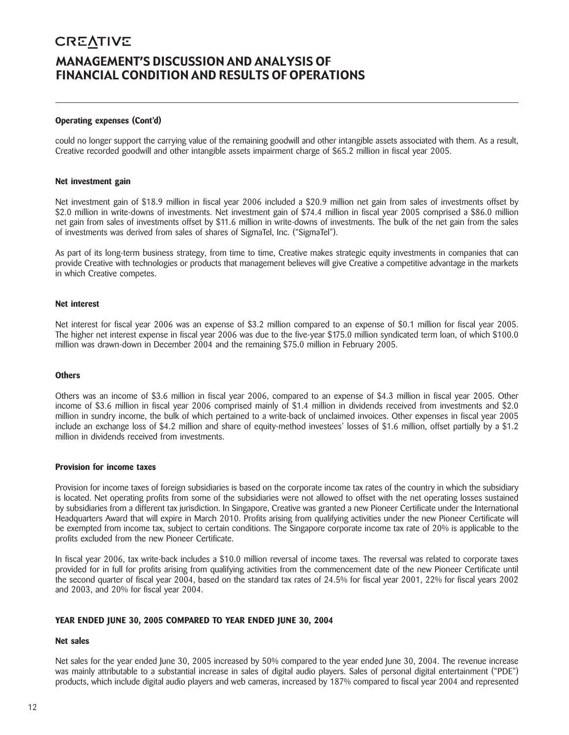# **CREATIVE** MANAGEMENT'S DISCUSSION AND ANALYSIS OF FINANCIAL CONDITION AND RESULTS OF OPERATIONS

### **Operating expenses (Cont'd)**

could no longer support the carrying value of the remaining goodwill and other intangible assets associated with them. As a result, Creative recorded goodwill and other intangible assets impairment charge of \$65.2 million in fiscal year 2005.

#### **Net investment gain**

Net investment gain of \$18.9 million in fiscal year 2006 included a \$20.9 million net gain from sales of investments offset by \$2.0 million in write-downs of investments. Net investment gain of \$74.4 million in fiscal year 2005 comprised a \$86.0 million net gain from sales of investments offset by \$11.6 million in write-downs of investments. The bulk of the net gain from the sales of investments was derived from sales of shares of SigmaTel, Inc. ("SigmaTel").

As part of its long-term business strategy, from time to time, Creative makes strategic equity investments in companies that can provide Creative with technologies or products that management believes will give Creative a competitive advantage in the markets in which Creative competes.

#### **Net interest**

Net interest for fiscal year 2006 was an expense of \$3.2 million compared to an expense of \$0.1 million for fiscal year 2005. The higher net interest expense in fiscal year 2006 was due to the five-year \$175.0 million syndicated term loan, of which \$100.0 million was drawn-down in December 2004 and the remaining \$75.0 million in February 2005.

#### **Others**

Others was an income of \$3.6 million in fiscal year 2006, compared to an expense of \$4.3 million in fiscal year 2005. Other income of \$3.6 million in fiscal year 2006 comprised mainly of \$1.4 million in dividends received from investments and \$2.0 million in sundry income, the bulk of which pertained to a write-back of unclaimed invoices. Other expenses in fiscal year 2005 include an exchange loss of \$4.2 million and share of equity-method investees' losses of \$1.6 million, offset partially by a \$1.2 million in dividends received from investments.

#### **Provision for income taxes**

Provision for income taxes of foreign subsidiaries is based on the corporate income tax rates of the country in which the subsidiary is located. Net operating profits from some of the subsidiaries were not allowed to offset with the net operating losses sustained by subsidiaries from a different tax jurisdiction. In Singapore, Creative was granted a new Pioneer Certificate under the International Headquarters Award that will expire in March 2010. Profits arising from qualifying activities under the new Pioneer Certificate will be exempted from income tax, subject to certain conditions. The Singapore corporate income tax rate of 20% is applicable to the profits excluded from the new Pioneer Certificate.

In fiscal year 2006, tax write-back includes a \$10.0 million reversal of income taxes. The reversal was related to corporate taxes provided for in full for profits arising from qualifying activities from the commencement date of the new Pioneer Certificate until the second quarter of fiscal year 2004, based on the standard tax rates of 24.5% for fiscal year 2001, 22% for fiscal years 2002 and 2003, and 20% for fiscal year 2004.

### **YEAR ENDED JUNE 30, 2005 COMPARED TO YEAR ENDED JUNE 30, 2004**

### **Net sales**

Net sales for the year ended June 30, 2005 increased by 50% compared to the year ended June 30, 2004. The revenue increase was mainly attributable to a substantial increase in sales of digital audio players. Sales of personal digital entertainment ("PDE") products, which include digital audio players and web cameras, increased by 187% compared to fiscal year 2004 and represented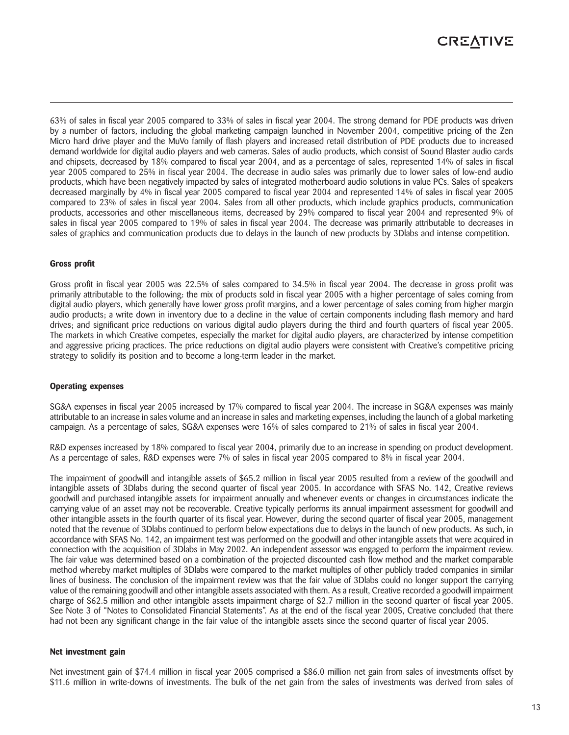# **CREATIVE**

63% of sales in fiscal year 2005 compared to 33% of sales in fiscal year 2004. The strong demand for PDE products was driven by a number of factors, including the global marketing campaign launched in November 2004, competitive pricing of the Zen Micro hard drive player and the MuVo family of flash players and increased retail distribution of PDE products due to increased demand worldwide for digital audio players and web cameras. Sales of audio products, which consist of Sound Blaster audio cards and chipsets, decreased by 18% compared to fiscal year 2004, and as a percentage of sales, represented 14% of sales in fiscal year 2005 compared to 25% in fiscal year 2004. The decrease in audio sales was primarily due to lower sales of low-end audio products, which have been negatively impacted by sales of integrated motherboard audio solutions in value PCs. Sales of speakers decreased marginally by 4% in fiscal year 2005 compared to fiscal year 2004 and represented 14% of sales in fiscal year 2005 compared to 23% of sales in fiscal year 2004. Sales from all other products, which include graphics products, communication products, accessories and other miscellaneous items, decreased by 29% compared to fiscal year 2004 and represented 9% of sales in fiscal year 2005 compared to 19% of sales in fiscal year 2004. The decrease was primarily attributable to decreases in sales of graphics and communication products due to delays in the launch of new products by 3Dlabs and intense competition.

### **Gross profit**

Gross profit in fiscal year 2005 was 22.5% of sales compared to 34.5% in fiscal year 2004. The decrease in gross profit was primarily attributable to the following: the mix of products sold in fiscal year 2005 with a higher percentage of sales coming from digital audio players, which generally have lower gross profit margins, and a lower percentage of sales coming from higher margin audio products; a write down in inventory due to a decline in the value of certain components including flash memory and hard drives; and significant price reductions on various digital audio players during the third and fourth quarters of fiscal year 2005. The markets in which Creative competes, especially the market for digital audio players, are characterized by intense competition and aggressive pricing practices. The price reductions on digital audio players were consistent with Creative's competitive pricing strategy to solidify its position and to become a long-term leader in the market.

### **Operating expenses**

SG&A expenses in fiscal year 2005 increased by 17% compared to fiscal year 2004. The increase in SG&A expenses was mainly attributable to an increase in sales volume and an increase in sales and marketing expenses, including the launch of a global marketing campaign. As a percentage of sales, SG&A expenses were 16% of sales compared to 21% of sales in fiscal year 2004.

R&D expenses increased by 18% compared to fiscal year 2004, primarily due to an increase in spending on product development. As a percentage of sales, R&D expenses were 7% of sales in fiscal year 2005 compared to 8% in fiscal year 2004.

The impairment of goodwill and intangible assets of \$65.2 million in fiscal year 2005 resulted from a review of the goodwill and intangible assets of 3Dlabs during the second quarter of fiscal year 2005. In accordance with SFAS No. 142, Creative reviews goodwill and purchased intangible assets for impairment annually and whenever events or changes in circumstances indicate the carrying value of an asset may not be recoverable. Creative typically performs its annual impairment assessment for goodwill and other intangible assets in the fourth quarter of its fiscal year. However, during the second quarter of fiscal year 2005, management noted that the revenue of 3Dlabs continued to perform below expectations due to delays in the launch of new products. As such, in accordance with SFAS No. 142, an impairment test was performed on the goodwill and other intangible assets that were acquired in connection with the acquisition of 3Dlabs in May 2002. An independent assessor was engaged to perform the impairment review. The fair value was determined based on a combination of the projected discounted cash flow method and the market comparable method whereby market multiples of 3Dlabs were compared to the market multiples of other publicly traded companies in similar lines of business. The conclusion of the impairment review was that the fair value of 3Dlabs could no longer support the carrying value of the remaining goodwill and other intangible assets associated with them. As a result, Creative recorded a goodwill impairment charge of \$62.5 million and other intangible assets impairment charge of \$2.7 million in the second quarter of fiscal year 2005. See Note 3 of "Notes to Consolidated Financial Statements". As at the end of the fiscal year 2005, Creative concluded that there had not been any significant change in the fair value of the intangible assets since the second quarter of fiscal year 2005.

### **Net investment gain**

Net investment gain of \$74.4 million in fiscal year 2005 comprised a \$86.0 million net gain from sales of investments offset by \$11.6 million in write-downs of investments. The bulk of the net gain from the sales of investments was derived from sales of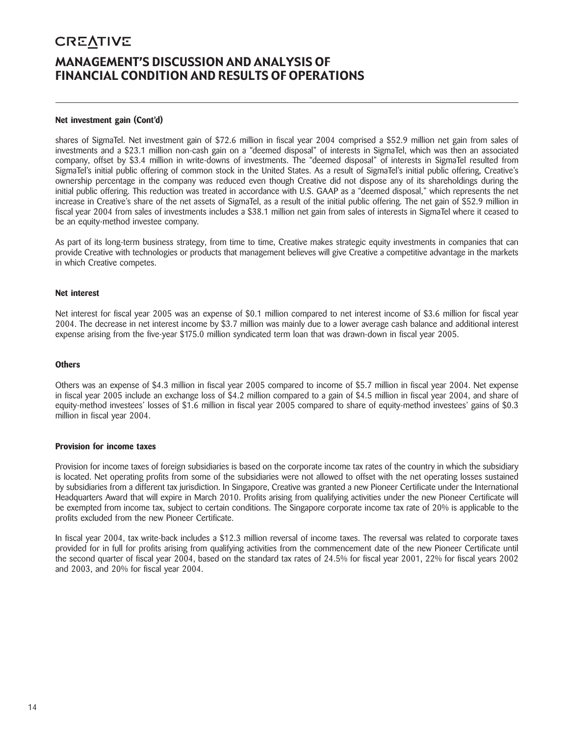# **CREATIVE** MANAGEMENT'S DISCUSSION AND ANALYSIS OF FINANCIAL CONDITION AND RESULTS OF OPERATIONS

### **Net investment gain (Cont'd)**

shares of SigmaTel. Net investment gain of \$72.6 million in fiscal year 2004 comprised a \$52.9 million net gain from sales of investments and a \$23.1 million non-cash gain on a "deemed disposal" of interests in SigmaTel, which was then an associated company, offset by \$3.4 million in write-downs of investments. The "deemed disposal" of interests in SigmaTel resulted from SigmaTel's initial public offering of common stock in the United States. As a result of SigmaTel's initial public offering, Creative's ownership percentage in the company was reduced even though Creative did not dispose any of its shareholdings during the initial public offering. This reduction was treated in accordance with U.S. GAAP as a "deemed disposal," which represents the net increase in Creative's share of the net assets of SigmaTel, as a result of the initial public offering. The net gain of \$52.9 million in fiscal year 2004 from sales of investments includes a \$38.1 million net gain from sales of interests in SigmaTel where it ceased to be an equity-method investee company.

As part of its long-term business strategy, from time to time, Creative makes strategic equity investments in companies that can provide Creative with technologies or products that management believes will give Creative a competitive advantage in the markets in which Creative competes.

### **Net interest**

Net interest for fiscal year 2005 was an expense of \$0.1 million compared to net interest income of \$3.6 million for fiscal year 2004. The decrease in net interest income by \$3.7 million was mainly due to a lower average cash balance and additional interest expense arising from the five-year \$175.0 million syndicated term loan that was drawn-down in fiscal year 2005.

### **Others**

Others was an expense of \$4.3 million in fiscal year 2005 compared to income of \$5.7 million in fiscal year 2004. Net expense in fiscal year 2005 include an exchange loss of \$4.2 million compared to a gain of \$4.5 million in fiscal year 2004, and share of equity-method investees' losses of \$1.6 million in fiscal year 2005 compared to share of equity-method investees' gains of \$0.3 million in fiscal year 2004.

### **Provision for income taxes**

Provision for income taxes of foreign subsidiaries is based on the corporate income tax rates of the country in which the subsidiary is located. Net operating profits from some of the subsidiaries were not allowed to offset with the net operating losses sustained by subsidiaries from a different tax jurisdiction. In Singapore, Creative was granted a new Pioneer Certificate under the International Headquarters Award that will expire in March 2010. Profits arising from qualifying activities under the new Pioneer Certificate will be exempted from income tax, subject to certain conditions. The Singapore corporate income tax rate of 20% is applicable to the profits excluded from the new Pioneer Certificate.

In fiscal year 2004, tax write-back includes a \$12.3 million reversal of income taxes. The reversal was related to corporate taxes provided for in full for profits arising from qualifying activities from the commencement date of the new Pioneer Certificate until the second quarter of fiscal year 2004, based on the standard tax rates of 24.5% for fiscal year 2001, 22% for fiscal years 2002 and 2003, and 20% for fiscal year 2004.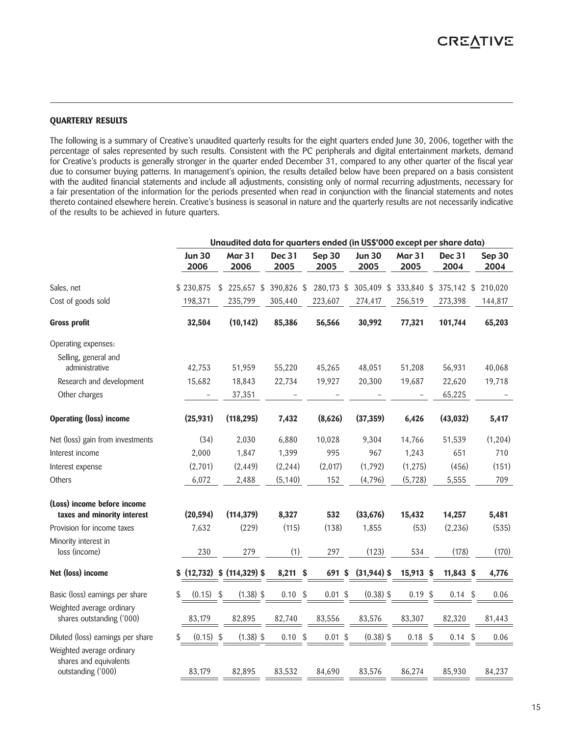### **QUARTERLY RESULTS**

The following is a summary of Creative's unaudited quarterly results for the eight quarters ended June 30, 2006, together with the percentage of sales represented by such results. Consistent with the PC peripherals and digital entertainment markets, demand for Creative's products is generally stronger in the quarter ended December 31, compared to any other quarter of the fiscal year due to consumer buying patterns. In management's opinion, the results detailed below have been prepared on a basis consistent with the audited financial statements and include all adjustments, consisting only of normal recurring adjustments, necessary for a fair presentation of the information for the periods presented when read in conjunction with the financial statements and notes thereto contained elsewhere herein. Creative's business is seasonal in nature and the quarterly results are not necessarily indicative of the results to be achieved in future quarters.

|                                                                           | Unaudited data for quarters ended (in US\$'000 except per share data) |                       |                       |                |                       |                       |                |                |
|---------------------------------------------------------------------------|-----------------------------------------------------------------------|-----------------------|-----------------------|----------------|-----------------------|-----------------------|----------------|----------------|
|                                                                           | <b>Jun 30</b><br>2006                                                 | <b>Mar 31</b><br>2006 | <b>Dec 31</b><br>2005 | Sep 30<br>2005 | <b>Jun 30</b><br>2005 | <b>Mar 31</b><br>2005 | Dec 31<br>2004 | Sep 30<br>2004 |
| Sales, net                                                                | \$230,875                                                             | $$225,657$ \$         | 390,826 \$            | 280,173 \$     | 305,409 \$            | 333,840 \$            | 375,142 \$     | 210,020        |
| Cost of goods sold                                                        | 198,371                                                               | 235,799               | 305,440               | 223,607        | 274,417               | 256,519               | 273,398        | 144,817        |
| <b>Gross profit</b>                                                       | 32,504                                                                | (10, 142)             | 85,386                | 56,566         | 30,992                | 77,321                | 101,744        | 65,203         |
| Operating expenses:                                                       |                                                                       |                       |                       |                |                       |                       |                |                |
| Selling, general and                                                      |                                                                       |                       |                       |                |                       |                       |                |                |
| administrative                                                            | 42,753                                                                | 51,959                | 55,220                | 45,265         | 48,051                | 51,208                | 56,931         | 40,068         |
| Research and development                                                  | 15,682                                                                | 18,843                | 22,734                | 19,927         | 20,300                | 19,687                | 22,620         | 19,718         |
| Other charges                                                             | -                                                                     | 37,351                |                       |                |                       |                       | 65,225         |                |
| <b>Operating (loss) income</b>                                            | (25, 931)                                                             | (118, 295)            | 7,432                 | (8,626)        | (37, 359)             | 6,426                 | (43, 032)      | 5,417          |
| Net (loss) gain from investments                                          | (34)                                                                  | 2,030                 | 6,880                 | 10,028         | 9,304                 | 14,766                | 51,539         | (1, 204)       |
| Interest income                                                           | 2,000                                                                 | 1,847                 | 1,399                 | 995            | 967                   | 1,243                 | 651            | 710            |
| Interest expense                                                          | (2,701)                                                               | (2, 449)              | (2, 244)              | (2,017)        | (1,792)               | (1, 275)              | (456)          | (151)          |
| Others                                                                    | 6,072                                                                 | 2,488                 | (5, 140)              | 152            | (4,796)               | (5,728)               | 5,555          | 709            |
| (Loss) income before income<br>taxes and minority interest                | (20, 594)                                                             | (114, 379)            | 8,327                 | 532            | (33, 676)             | 15,432                | 14,257         | 5,481          |
| Provision for income taxes                                                | 7,632                                                                 | (229)                 | (115)                 | (138)          | 1,855                 | (53)                  | (2, 236)       | (535)          |
| Minority interest in<br>loss (income)                                     | 230                                                                   | 279                   | (1)                   | 297            | (123)                 | 534                   | (178)          | (170)          |
| Net (loss) income                                                         | (12, 732)<br>\$                                                       | $$$ (114,329) \$      | 8,211 \$              | 691 \$         | $(31,944)$ \$         | 15,913 \$             | $11,843$ \$    | 4,776          |
| Basic (loss) earnings per share                                           | \$<br>(0.15)                                                          | $(1.38)$ \$<br>\$     | $0.10$ \$             | $0.01$ \$      | $(0.38)$ \$           | $0.19$ \$             | $0.14$ \$      | 0.06           |
| Weighted average ordinary<br>shares outstanding ('000)                    | 83,179                                                                | 82,895                | 82,740                | 83,556         | 83,576                | 83,307                | 82,320         | 81,443         |
| Diluted (loss) earnings per share                                         | $(0.15)$ \$<br>\$                                                     | $(1.38)$ \$           | $0.10$ \$             | $0.01$ \$      | $(0.38)$ \$           | $0.18$ \$             | $0.14$ \$      | 0.06           |
| Weighted average ordinary<br>shares and equivalents<br>outstanding ('000) | 83,179                                                                | 82,895                | 83,532                | 84,690         | 83,576                | 86,274                | 85,930         | 84,237         |
|                                                                           |                                                                       |                       |                       |                |                       |                       |                |                |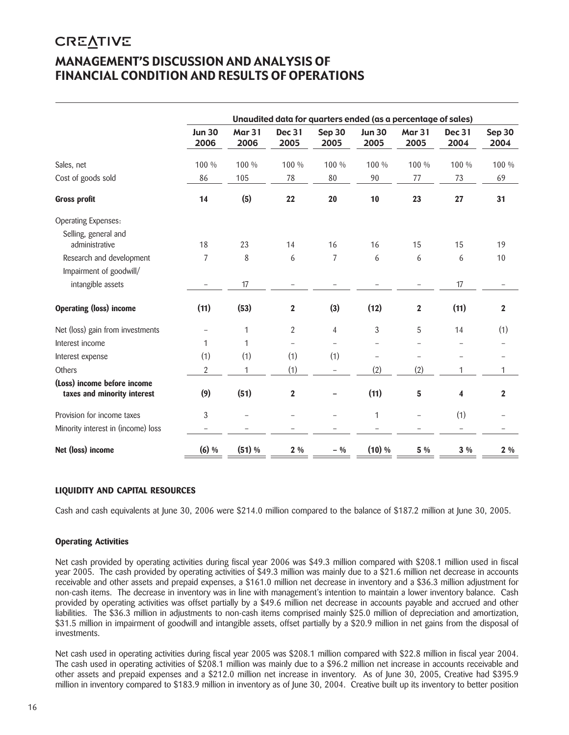# **CREATIVE** MANAGEMENT'S DISCUSSION AND ANALYSIS OF FINANCIAL CONDITION AND RESULTS OF OPERATIONS

|                                                            | Unaudited data for quarters ended (as a percentage of sales) |                       |                         |                |                       |                          |                          |                |
|------------------------------------------------------------|--------------------------------------------------------------|-----------------------|-------------------------|----------------|-----------------------|--------------------------|--------------------------|----------------|
|                                                            | <b>Jun 30</b><br>2006                                        | <b>Mar 31</b><br>2006 | <b>Dec 31</b><br>2005   | Sep 30<br>2005 | <b>Jun 30</b><br>2005 | <b>Mar 31</b><br>2005    | Dec 31<br>2004           | Sep 30<br>2004 |
| Sales, net                                                 | 100 %                                                        | 100 %                 | 100 %                   | 100 %          | 100 %                 | 100 %                    | 100 %                    | 100 %          |
| Cost of goods sold                                         | 86                                                           | 105                   | 78                      | 80             | 90                    | 77                       | 73                       | 69             |
| <b>Gross profit</b>                                        | 14                                                           | (5)                   | 22                      | 20             | 10                    | 23                       | 27                       | 31             |
| Operating Expenses:                                        |                                                              |                       |                         |                |                       |                          |                          |                |
| Selling, general and<br>administrative                     | 18                                                           | 23                    | 14                      | 16             | 16                    | 15                       | 15                       | 19             |
| Research and development                                   | 7                                                            | 8                     | 6                       | 7              | 6                     | 6                        | 6                        | 10             |
| Impairment of goodwill/                                    |                                                              |                       |                         |                |                       |                          |                          |                |
| intangible assets                                          |                                                              | 17                    |                         |                |                       |                          | 17                       |                |
| <b>Operating (loss) income</b>                             | (11)                                                         | (53)                  | $\mathbf 2$             | (3)            | (12)                  | $\boldsymbol{2}$         | (11)                     | $\mathbf{2}$   |
| Net (loss) gain from investments                           | $\overline{\phantom{0}}$                                     | 1                     | $\overline{2}$          | $\overline{4}$ | 3                     | 5                        | 14                       | (1)            |
| Interest income                                            | 1                                                            | 1                     |                         |                |                       |                          |                          |                |
| Interest expense                                           | (1)                                                          | (1)                   | (1)                     | (1)            |                       |                          |                          |                |
| Others                                                     | $\overline{2}$                                               | 1                     | (1)                     |                | (2)                   | (2)                      | 1                        | 1              |
| (Loss) income before income<br>taxes and minority interest | (9)                                                          | (51)                  | $\overline{\mathbf{2}}$ |                | (11)                  | 5                        | 4                        | $\overline{2}$ |
| Provision for income taxes                                 | 3                                                            |                       |                         |                | $\mathbf{1}$          | $\overline{\phantom{0}}$ | (1)                      |                |
| Minority interest in (income) loss                         |                                                              |                       |                         |                |                       |                          | $\overline{\phantom{0}}$ |                |
| Net (loss) income                                          | $(6)$ %                                                      | (51) %                | $2\%$                   | $-9/0$         | $(10)$ %              | 5 %                      | $3\%$                    | $2\%$          |

# **LIQUIDITY AND CAPITAL RESOURCES**

Cash and cash equivalents at June 30, 2006 were \$214.0 million compared to the balance of \$187.2 million at June 30, 2005.

# **Operating Activities**

Net cash provided by operating activities during fiscal year 2006 was \$49.3 million compared with \$208.1 million used in fiscal year 2005. The cash provided by operating activities of \$49.3 million was mainly due to a \$21.6 million net decrease in accounts receivable and other assets and prepaid expenses, a \$161.0 million net decrease in inventory and a \$36.3 million adjustment for non-cash items. The decrease in inventory was in line with management's intention to maintain a lower inventory balance. Cash provided by operating activities was offset partially by a \$49.6 million net decrease in accounts payable and accrued and other liabilities. The \$36.3 million in adjustments to non-cash items comprised mainly \$25.0 million of depreciation and amortization, \$31.5 million in impairment of goodwill and intangible assets, offset partially by a \$20.9 million in net gains from the disposal of investments.

Net cash used in operating activities during fiscal year 2005 was \$208.1 million compared with \$22.8 million in fiscal year 2004. The cash used in operating activities of \$208.1 million was mainly due to a \$96.2 million net increase in accounts receivable and other assets and prepaid expenses and a \$212.0 million net increase in inventory. As of June 30, 2005, Creative had \$395.9 million in inventory compared to \$183.9 million in inventory as of June 30, 2004. Creative built up its inventory to better position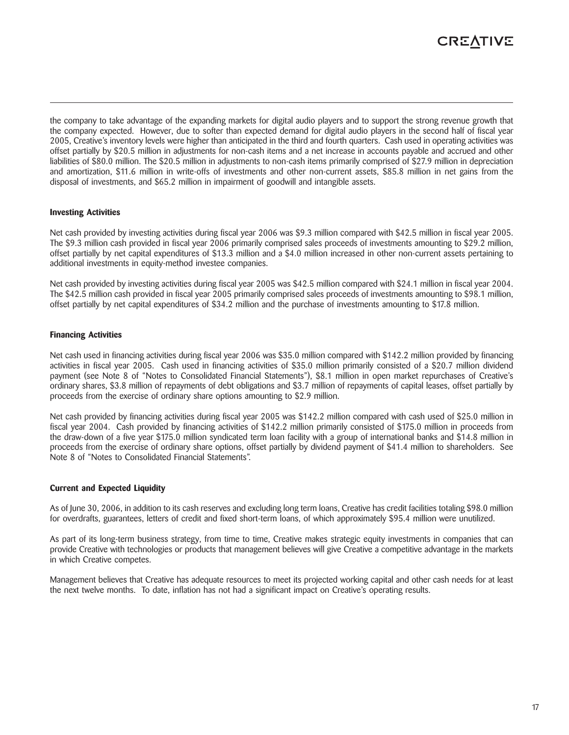

the company to take advantage of the expanding markets for digital audio players and to support the strong revenue growth that the company expected. However, due to softer than expected demand for digital audio players in the second half of fiscal year 2005, Creative's inventory levels were higher than anticipated in the third and fourth quarters. Cash used in operating activities was offset partially by \$20.5 million in adjustments for non-cash items and a net increase in accounts payable and accrued and other liabilities of \$80.0 million. The \$20.5 million in adjustments to non-cash items primarily comprised of \$27.9 million in depreciation and amortization, \$11.6 million in write-offs of investments and other non-current assets, \$85.8 million in net gains from the disposal of investments, and \$65.2 million in impairment of goodwill and intangible assets.

### **Investing Activities**

Net cash provided by investing activities during fiscal year 2006 was \$9.3 million compared with \$42.5 million in fiscal year 2005. The \$9.3 million cash provided in fiscal year 2006 primarily comprised sales proceeds of investments amounting to \$29.2 million, offset partially by net capital expenditures of \$13.3 million and a \$4.0 million increased in other non-current assets pertaining to additional investments in equity-method investee companies.

Net cash provided by investing activities during fiscal year 2005 was \$42.5 million compared with \$24.1 million in fiscal year 2004. The \$42.5 million cash provided in fiscal year 2005 primarily comprised sales proceeds of investments amounting to \$98.1 million, offset partially by net capital expenditures of \$34.2 million and the purchase of investments amounting to \$17.8 million.

### **Financing Activities**

Net cash used in financing activities during fiscal year 2006 was \$35.0 million compared with \$142.2 million provided by financing activities in fiscal year 2005. Cash used in financing activities of \$35.0 million primarily consisted of a \$20.7 million dividend payment (see Note 8 of "Notes to Consolidated Financial Statements"), \$8.1 million in open market repurchases of Creative's ordinary shares, \$3.8 million of repayments of debt obligations and \$3.7 million of repayments of capital leases, offset partially by proceeds from the exercise of ordinary share options amounting to \$2.9 million.

Net cash provided by financing activities during fiscal year 2005 was \$142.2 million compared with cash used of \$25.0 million in fiscal year 2004. Cash provided by financing activities of \$142.2 million primarily consisted of \$175.0 million in proceeds from the draw-down of a five year \$175.0 million syndicated term loan facility with a group of international banks and \$14.8 million in proceeds from the exercise of ordinary share options, offset partially by dividend payment of \$41.4 million to shareholders. See Note 8 of "Notes to Consolidated Financial Statements".

### **Current and Expected Liquidity**

As of June 30, 2006, in addition to its cash reserves and excluding long term loans, Creative has credit facilities totaling \$98.0 million for overdrafts, guarantees, letters of credit and fixed short-term loans, of which approximately \$95.4 million were unutilized.

As part of its long-term business strategy, from time to time, Creative makes strategic equity investments in companies that can provide Creative with technologies or products that management believes will give Creative a competitive advantage in the markets in which Creative competes.

Management believes that Creative has adequate resources to meet its projected working capital and other cash needs for at least the next twelve months. To date, inflation has not had a significant impact on Creative's operating results.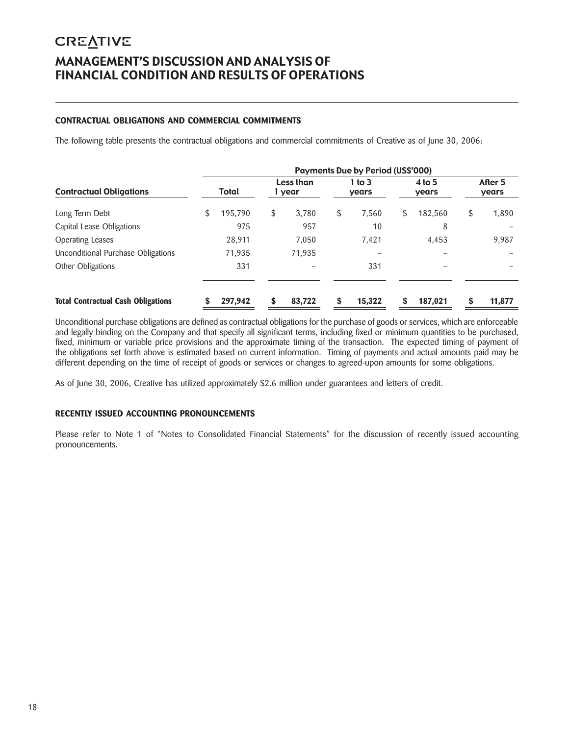# **CREATIVE** MANAGEMENT'S DISCUSSION AND ANALYSIS OF FINANCIAL CONDITION AND RESULTS OF OPERATIONS

# **CONTRACTUAL OBLIGATIONS AND COMMERCIAL COMMITMENTS**

The following table presents the contractual obligations and commercial commitments of Creative as of June 30, 2006:

|                                           | <b>Payments Due by Period (US\$'000)</b> |         |    |                     |    |                   |    |                   |    |                  |
|-------------------------------------------|------------------------------------------|---------|----|---------------------|----|-------------------|----|-------------------|----|------------------|
| <b>Contractual Obligations</b>            |                                          | Total   |    | Less than<br>1 year |    | 1 to $3$<br>years |    | $4$ to 5<br>years |    | After 5<br>years |
| Long Term Debt                            | \$                                       | 195,790 | \$ | 3.780               | \$ | 7,560             | \$ | 182,560           | \$ | 1,890            |
| Capital Lease Obligations                 |                                          | 975     |    | 957                 |    | 10                |    | 8                 |    |                  |
| <b>Operating Leases</b>                   |                                          | 28.911  |    | 7.050               |    | 7.421             |    | 4.453             |    | 9,987            |
| Unconditional Purchase Obligations        |                                          | 71.935  |    | 71,935              |    | -                 |    |                   |    |                  |
| Other Obligations                         |                                          | 331     |    |                     |    | 331               |    |                   |    |                  |
| <b>Total Contractual Cash Obligations</b> |                                          | 297,942 | S  | 83,722              | \$ | 15,322            | \$ | 187,021           | S  | 11,877           |

Unconditional purchase obligations are defined as contractual obligations for the purchase of goods or services, which are enforceable and legally binding on the Company and that specify all significant terms, including fixed or minimum quantities to be purchased, fixed, minimum or variable price provisions and the approximate timing of the transaction. The expected timing of payment of the obligations set forth above is estimated based on current information. Timing of payments and actual amounts paid may be different depending on the time of receipt of goods or services or changes to agreed-upon amounts for some obligations.

As of June 30, 2006, Creative has utilized approximately \$2.6 million under guarantees and letters of credit.

# **RECENTLY ISSUED ACCOUNTING PRONOUNCEMENTS**

Please refer to Note 1 of "Notes to Consolidated Financial Statements" for the discussion of recently issued accounting pronouncements.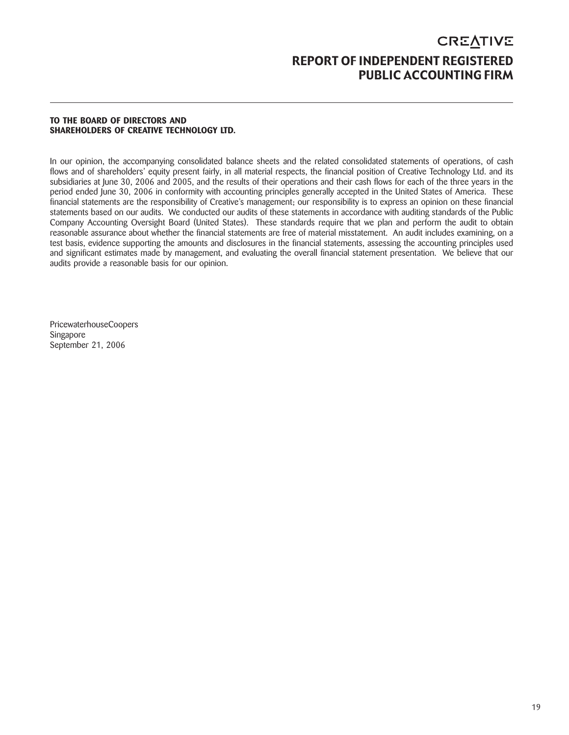# **CREATIVE** REPORT OF INDEPENDENT REGISTERED PUBLIC ACCOUNTING FIRM

### **TO THE BOARD OF DIRECTORS AND SHAREHOLDERS OF CREATIVE TECHNOLOGY LTD.**

In our opinion, the accompanying consolidated balance sheets and the related consolidated statements of operations, of cash flows and of shareholders' equity present fairly, in all material respects, the financial position of Creative Technology Ltd. and its subsidiaries at June 30, 2006 and 2005, and the results of their operations and their cash flows for each of the three years in the period ended June 30, 2006 in conformity with accounting principles generally accepted in the United States of America. These financial statements are the responsibility of Creative's management; our responsibility is to express an opinion on these financial statements based on our audits. We conducted our audits of these statements in accordance with auditing standards of the Public Company Accounting Oversight Board (United States). These standards require that we plan and perform the audit to obtain reasonable assurance about whether the financial statements are free of material misstatement. An audit includes examining, on a test basis, evidence supporting the amounts and disclosures in the financial statements, assessing the accounting principles used and significant estimates made by management, and evaluating the overall financial statement presentation. We believe that our audits provide a reasonable basis for our opinion.

PricewaterhouseCoopers Singapore September 21, 2006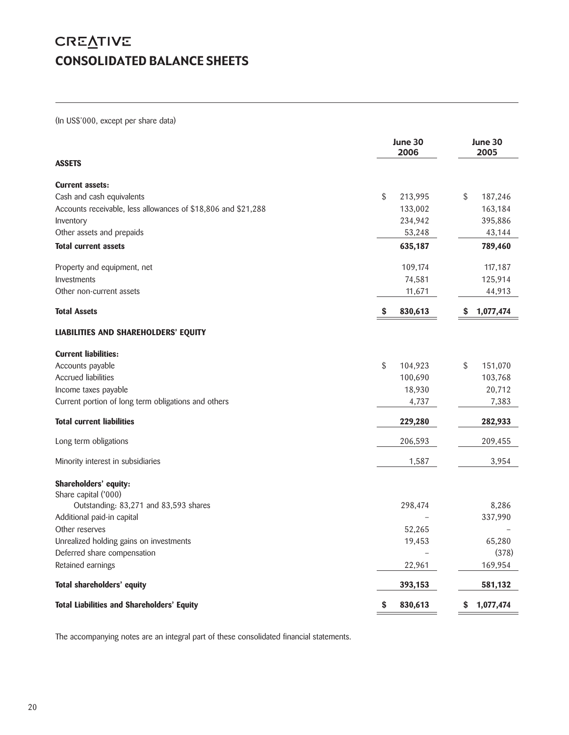# **CREATIVE** CONSOLIDATED BALANCE SHEETS

(In US\$'000, except per share data)

|                                                               | June 30<br>2006 | June 30<br>2005 |
|---------------------------------------------------------------|-----------------|-----------------|
| <b>ASSETS</b>                                                 |                 |                 |
| <b>Current assets:</b>                                        |                 |                 |
| Cash and cash equivalents                                     | \$<br>213,995   | \$<br>187,246   |
| Accounts receivable, less allowances of \$18,806 and \$21,288 | 133,002         | 163,184         |
| Inventory                                                     | 234,942         | 395,886         |
| Other assets and prepaids                                     | 53,248          | 43,144          |
| <b>Total current assets</b>                                   | 635,187         | 789,460         |
| Property and equipment, net                                   | 109,174         | 117,187         |
| Investments                                                   | 74,581          | 125,914         |
| Other non-current assets                                      | 11,671          | 44,913          |
| <b>Total Assets</b>                                           | 830,613<br>S    | 1,077,474<br>S  |
| <b>LIABILITIES AND SHAREHOLDERS' EQUITY</b>                   |                 |                 |
| <b>Current liabilities:</b>                                   |                 |                 |
| Accounts payable                                              | \$<br>104,923   | \$<br>151,070   |
| <b>Accrued liabilities</b>                                    | 100,690         | 103,768         |
| Income taxes payable                                          | 18,930          | 20,712          |
| Current portion of long term obligations and others           | 4,737           | 7,383           |
| <b>Total current liabilities</b>                              | 229,280         | 282,933         |
| Long term obligations                                         | 206,593         | 209,455         |
| Minority interest in subsidiaries                             | 1,587           | 3,954           |
| Shareholders' equity:<br>Share capital ('000)                 |                 |                 |
| Outstanding: 83,271 and 83,593 shares                         | 298,474         | 8,286           |
| Additional paid-in capital                                    |                 | 337,990         |
| Other reserves                                                | 52,265          |                 |
| Unrealized holding gains on investments                       | 19,453          | 65,280          |
| Deferred share compensation                                   |                 | (378)           |
| Retained earnings                                             | 22,961          | 169,954         |
| Total shareholders' equity                                    | 393,153         | 581,132         |
| <b>Total Liabilities and Shareholders' Equity</b>             | \$<br>830,613   | 1,077,474<br>\$ |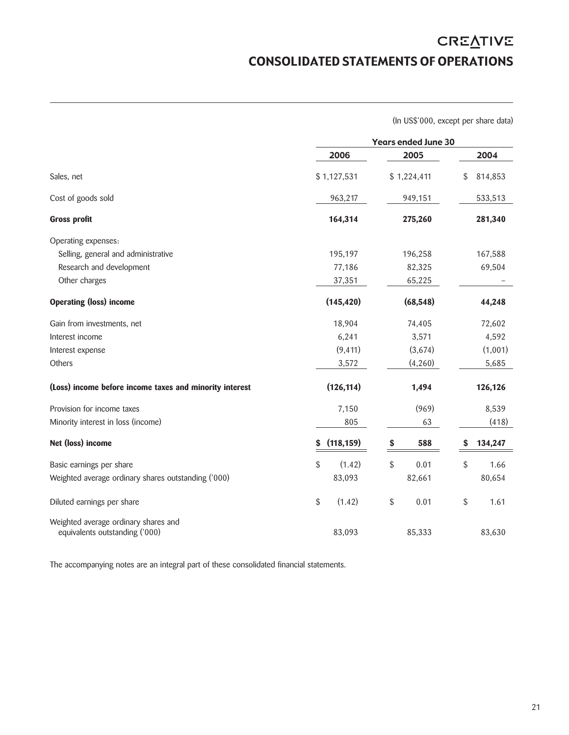# **CREATIVE** CONSOLIDATED STATEMENTS OF OPERATIONS

(In US\$'000, except per share data)

|                                                         | <b>Years ended June 30</b> |             |               |  |  |  |
|---------------------------------------------------------|----------------------------|-------------|---------------|--|--|--|
|                                                         | 2006                       | 2005        | 2004          |  |  |  |
| Sales, net                                              | \$1,127,531                | \$1,224,411 | \$<br>814,853 |  |  |  |
| Cost of goods sold                                      | 963,217                    | 949,151     | 533,513       |  |  |  |
| <b>Gross profit</b>                                     | 164,314                    | 275,260     | 281,340       |  |  |  |
| Operating expenses:                                     |                            |             |               |  |  |  |
| Selling, general and administrative                     | 195,197                    | 196,258     | 167,588       |  |  |  |
| Research and development                                | 77,186                     | 82,325      | 69,504        |  |  |  |
| Other charges                                           | 37,351                     | 65,225      |               |  |  |  |
| <b>Operating (loss) income</b>                          | (145, 420)                 | (68, 548)   | 44,248        |  |  |  |
| Gain from investments, net                              | 18,904                     | 74,405      | 72,602        |  |  |  |
| Interest income                                         | 6,241                      | 3,571       | 4,592         |  |  |  |
| Interest expense                                        | (9, 411)                   | (3,674)     | (1,001)       |  |  |  |
| Others                                                  | 3,572                      | (4,260)     | 5,685         |  |  |  |
| (Loss) income before income taxes and minority interest | (126, 114)                 | 1,494       | 126,126       |  |  |  |
| Provision for income taxes                              | 7,150                      | (969)       | 8,539         |  |  |  |
| Minority interest in loss (income)                      | 805                        | 63          | (418)         |  |  |  |
| Net (loss) income                                       | (118, 159)<br>\$           | 588<br>\$   | 134,247<br>S  |  |  |  |
| Basic earnings per share                                | \$<br>(1.42)               | \$<br>0.01  | \$<br>1.66    |  |  |  |
| Weighted average ordinary shares outstanding ('000)     | 83,093                     | 82,661      | 80,654        |  |  |  |
| Diluted earnings per share                              | \$<br>(1.42)               | \$<br>0.01  | \$<br>1.61    |  |  |  |
| Weighted average ordinary shares and                    |                            |             |               |  |  |  |
| equivalents outstanding ('000)                          | 83,093                     | 85,333      | 83,630        |  |  |  |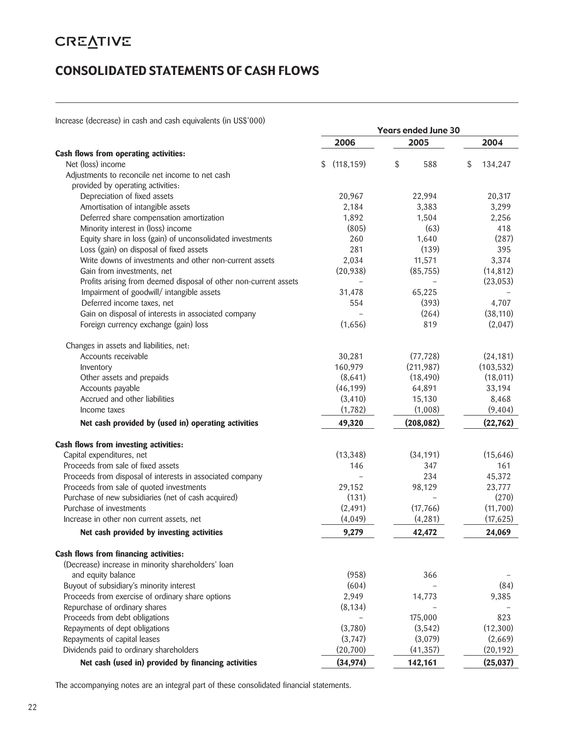# **CREATIVE**

# CONSOLIDATED STATEMENTS OF CASH FLOWS

Increase (decrease) in cash and cash equivalents (in US\$'000)

| <u>INDICASE (UCCICASE) IN CASH AND CASH CUURAICHIS (IN OST OVO)</u> | <b>Years ended June 30</b> |                          |               |  |  |  |
|---------------------------------------------------------------------|----------------------------|--------------------------|---------------|--|--|--|
|                                                                     | 2006                       | 2005                     | 2004          |  |  |  |
| Cash flows from operating activities:                               |                            |                          |               |  |  |  |
| Net (loss) income                                                   | (118, 159)<br>\$           | \$<br>588                | 134,247<br>\$ |  |  |  |
| Adjustments to reconcile net income to net cash                     |                            |                          |               |  |  |  |
| provided by operating activities:                                   |                            |                          |               |  |  |  |
| Depreciation of fixed assets                                        | 20,967                     | 22,994                   | 20,317        |  |  |  |
| Amortisation of intangible assets                                   | 2,184                      | 3,383                    | 3,299         |  |  |  |
| Deferred share compensation amortization                            | 1,892                      | 1,504                    | 2,256         |  |  |  |
| Minority interest in (loss) income                                  | (805)                      | (63)                     | 418           |  |  |  |
| Equity share in loss (gain) of unconsolidated investments           | 260                        | 1,640                    | (287)         |  |  |  |
| Loss (gain) on disposal of fixed assets                             | 281                        | (139)                    | 395           |  |  |  |
| Write downs of investments and other non-current assets             | 2,034                      | 11,571                   | 3,374         |  |  |  |
| Gain from investments, net                                          | (20, 938)                  | (85, 755)                | (14, 812)     |  |  |  |
| Profits arising from deemed disposal of other non-current assets    |                            | $\overline{\phantom{0}}$ | (23, 053)     |  |  |  |
| Impairment of goodwill/ intangible assets                           | 31,478                     | 65,225                   |               |  |  |  |
| Deferred income taxes, net                                          | 554                        | (393)                    | 4,707         |  |  |  |
| Gain on disposal of interests in associated company                 |                            | (264)                    | (38, 110)     |  |  |  |
| Foreign currency exchange (gain) loss                               | (1,656)                    | 819                      | (2,047)       |  |  |  |
| Changes in assets and liabilities, net:                             |                            |                          |               |  |  |  |
| Accounts receivable                                                 | 30,281                     | (77, 728)                | (24, 181)     |  |  |  |
| Inventory                                                           | 160,979                    | (211, 987)               | (103, 532)    |  |  |  |
| Other assets and prepaids                                           | (8,641)                    | (18, 490)                | (18, 011)     |  |  |  |
| Accounts payable                                                    | (46, 199)                  | 64,891                   | 33,194        |  |  |  |
| Accrued and other liabilities                                       | (3, 410)                   | 15,130                   | 8,468         |  |  |  |
| Income taxes                                                        | (1,782)                    | (1,008)                  | (9,404)       |  |  |  |
| Net cash provided by (used in) operating activities                 | 49,320                     | (208, 082)               | (22, 762)     |  |  |  |
| Cash flows from investing activities:                               |                            |                          |               |  |  |  |
| Capital expenditures, net                                           | (13, 348)                  | (34, 191)                | (15,646)      |  |  |  |
| Proceeds from sale of fixed assets                                  | 146                        | 347                      | 161           |  |  |  |
| Proceeds from disposal of interests in associated company           |                            | 234                      | 45,372        |  |  |  |
| Proceeds from sale of quoted investments                            | 29,152                     | 98,129                   | 23,777        |  |  |  |
| Purchase of new subsidiaries (net of cash acquired)                 | (131)                      |                          | (270)         |  |  |  |
| Purchase of investments                                             | (2, 491)                   | (17, 766)                | (11,700)      |  |  |  |
| Increase in other non current assets, net                           | (4,049)                    | (4, 281)                 | (17, 625)     |  |  |  |
| Net cash provided by investing activities                           | 9,279                      | 42,472                   | 24,069        |  |  |  |
| Cash flows from financing activities:                               |                            |                          |               |  |  |  |
| (Decrease) increase in minority shareholders' loan                  |                            |                          |               |  |  |  |
| and equity balance                                                  | (958)                      | 366                      |               |  |  |  |
| Buyout of subsidiary's minority interest                            | (604)                      |                          | (84)          |  |  |  |
| Proceeds from exercise of ordinary share options                    | 2,949                      | 14,773                   | 9,385         |  |  |  |
| Repurchase of ordinary shares                                       | (8, 134)                   |                          |               |  |  |  |
| Proceeds from debt obligations                                      |                            | 175,000                  | 823           |  |  |  |
| Repayments of dept obligations                                      | (3,780)                    | (3,542)                  | (12,300)      |  |  |  |
| Repayments of capital leases                                        | (3,747)                    | (3,079)                  | (2,669)       |  |  |  |
| Dividends paid to ordinary shareholders                             | (20, 700)                  | (41, 357)                | (20, 192)     |  |  |  |
| Net cash (used in) provided by financing activities                 | (34, 974)                  | 142,161                  | (25, 037)     |  |  |  |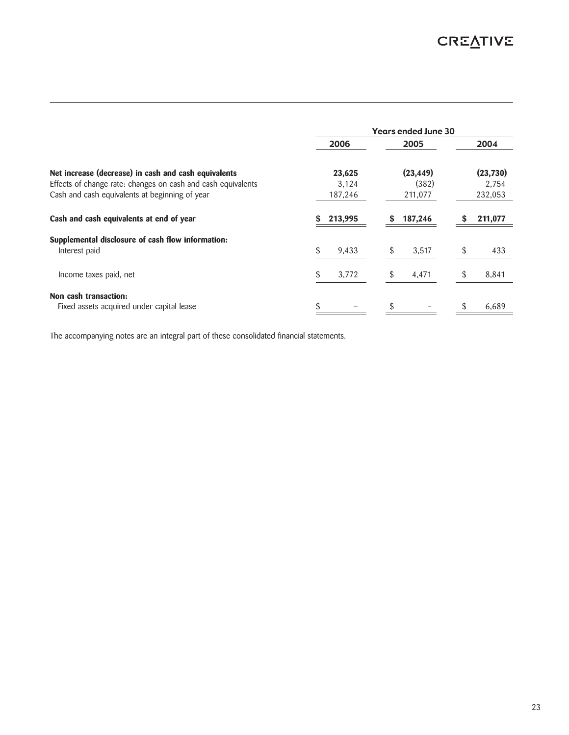|                                                              | <b>Years ended June 30</b> |              |              |  |
|--------------------------------------------------------------|----------------------------|--------------|--------------|--|
|                                                              | 2006                       | 2005         | 2004         |  |
| Net increase (decrease) in cash and cash equivalents         | 23,625                     | (23, 449)    | (23, 730)    |  |
| Effects of change rate: changes on cash and cash equivalents | 3.124                      | (382)        | 2.754        |  |
| Cash and cash equivalents at beginning of year               | 187,246                    | 211,077      | 232,053      |  |
| Cash and cash equivalents at end of year                     | 213,995                    | 187,246<br>S | 211,077<br>S |  |
| Supplemental disclosure of cash flow information:            |                            |              |              |  |
| Interest paid                                                | 9,433                      | 3,517        | 433          |  |
| Income taxes paid, net                                       | 3,772                      | 4,471        | 8,841        |  |
| Non cash transaction:                                        |                            |              |              |  |
| Fixed assets acquired under capital lease                    |                            |              | 6,689        |  |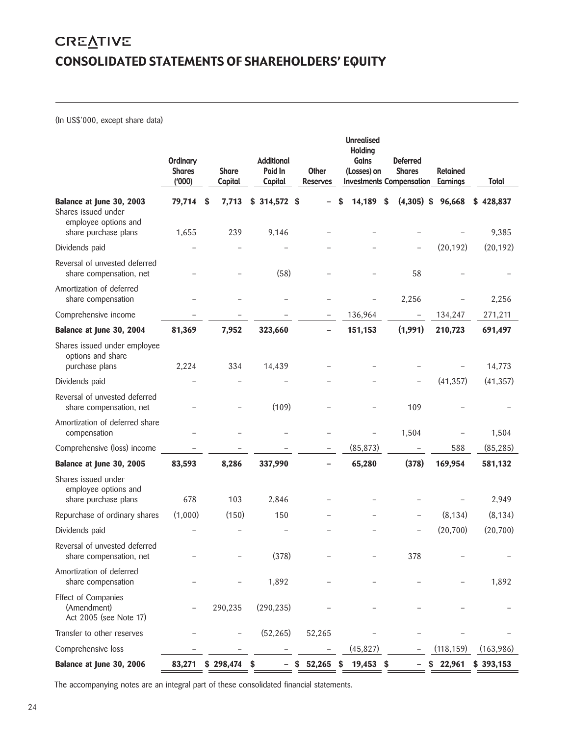# **CREATIVE** CONSOLIDATED STATEMENTS OF SHAREHOLDERS' EQUITY

(In US\$'000, except share data)

|                                                                     | <b>Ordinary</b><br><b>Shares</b><br>(900) | <b>Share</b><br>Capital | <b>Additional</b><br>Paid In<br>Capital | <b>Other</b><br><b>Reserves</b> | <b>Unrealised</b><br><b>Holding</b><br>Gains<br>(Losses) on | <b>Deferred</b><br><b>Shares</b><br><b>Investments Compensation</b> | <b>Retained</b><br><b>Earnings</b> | <b>Total</b> |
|---------------------------------------------------------------------|-------------------------------------------|-------------------------|-----------------------------------------|---------------------------------|-------------------------------------------------------------|---------------------------------------------------------------------|------------------------------------|--------------|
| Balance at June 30, 2003<br>Shares issued under                     | 79,714                                    | 7,713<br>\$             | $$314,572$ \$                           |                                 | 14,189                                                      | $(4,305)$ \$<br>\$                                                  | 96,668                             | \$428,837    |
| employee options and<br>share purchase plans                        | 1,655                                     | 239                     | 9,146                                   |                                 |                                                             |                                                                     |                                    | 9,385        |
| Dividends paid                                                      |                                           |                         |                                         |                                 |                                                             |                                                                     | (20, 192)                          | (20, 192)    |
| Reversal of unvested deferred<br>share compensation, net            |                                           |                         | (58)                                    |                                 |                                                             | 58                                                                  |                                    |              |
| Amortization of deferred<br>share compensation                      |                                           |                         |                                         |                                 |                                                             | 2,256                                                               |                                    | 2,256        |
| Comprehensive income                                                |                                           |                         |                                         |                                 | 136,964                                                     |                                                                     | 134,247                            | 271,211      |
| Balance at June 30, 2004                                            | 81,369                                    | 7,952                   | 323,660                                 |                                 | 151,153                                                     | (1,991)                                                             | 210,723                            | 691,497      |
| Shares issued under employee<br>options and share                   |                                           |                         |                                         |                                 |                                                             |                                                                     |                                    |              |
| purchase plans                                                      | 2,224                                     | 334                     | 14,439                                  |                                 |                                                             |                                                                     |                                    | 14,773       |
| Dividends paid                                                      |                                           |                         |                                         |                                 |                                                             |                                                                     | (41, 357)                          | (41, 357)    |
| Reversal of unvested deferred<br>share compensation, net            |                                           |                         | (109)                                   |                                 |                                                             | 109                                                                 |                                    |              |
| Amortization of deferred share<br>compensation                      |                                           |                         |                                         |                                 | -                                                           | 1,504                                                               |                                    | 1,504        |
| Comprehensive (loss) income                                         |                                           |                         |                                         | $\overline{\phantom{a}}$        | (85, 873)                                                   |                                                                     | 588                                | (85, 285)    |
| Balance at June 30, 2005                                            | 83,593                                    | 8,286                   | 337,990                                 |                                 | 65,280                                                      | (378)                                                               | 169,954                            | 581,132      |
| Shares issued under<br>employee options and<br>share purchase plans | 678                                       | 103                     | 2,846                                   |                                 |                                                             |                                                                     |                                    | 2,949        |
| Repurchase of ordinary shares                                       | (1,000)                                   | (150)                   | 150                                     |                                 |                                                             |                                                                     | (8, 134)                           | (8, 134)     |
| Dividends paid                                                      |                                           |                         |                                         |                                 |                                                             |                                                                     | (20, 700)                          | (20,700)     |
| Reversal of unvested deferred<br>share compensation, net            |                                           |                         | (378)                                   |                                 |                                                             | 378                                                                 |                                    |              |
| Amortization of deferred<br>share compensation                      |                                           |                         | 1,892                                   |                                 |                                                             |                                                                     |                                    | 1,892        |
| <b>Effect of Companies</b><br>(Amendment)<br>Act 2005 (see Note 17) |                                           | 290,235                 | (290, 235)                              |                                 |                                                             |                                                                     |                                    |              |
| Transfer to other reserves                                          |                                           |                         | (52, 265)                               | 52,265                          |                                                             |                                                                     |                                    |              |
| Comprehensive loss                                                  |                                           |                         |                                         |                                 | (45, 827)                                                   |                                                                     | (118, 159)                         | (163,986)    |
| Balance at June 30, 2006                                            | 83,271                                    | $$298,474$ \$           |                                         | 52,265<br>\$                    | 19,453 \$<br>-S                                             |                                                                     | \$22,961                           | \$393,153    |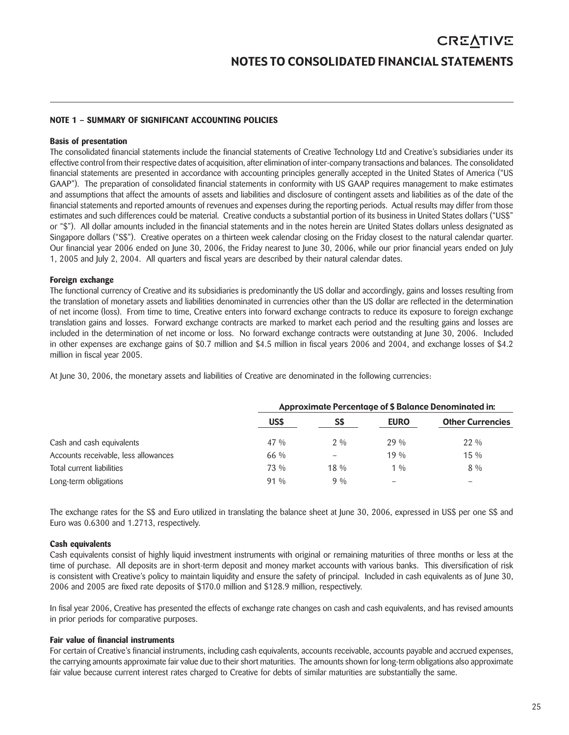### **NOTE 1 – SUMMARY OF SIGNIFICANT ACCOUNTING POLICIES**

### **Basis of presentation**

The consolidated financial statements include the financial statements of Creative Technology Ltd and Creative's subsidiaries under its effective control from their respective dates of acquisition, after elimination of inter-company transactions and balances. The consolidated financial statements are presented in accordance with accounting principles generally accepted in the United States of America ("US GAAP"). The preparation of consolidated financial statements in conformity with US GAAP requires management to make estimates and assumptions that affect the amounts of assets and liabilities and disclosure of contingent assets and liabilities as of the date of the financial statements and reported amounts of revenues and expenses during the reporting periods. Actual results may differ from those estimates and such differences could be material. Creative conducts a substantial portion of its business in United States dollars ("US\$" or "\$"). All dollar amounts included in the financial statements and in the notes herein are United States dollars unless designated as Singapore dollars ("S\$"). Creative operates on a thirteen week calendar closing on the Friday closest to the natural calendar quarter. Our financial year 2006 ended on June 30, 2006, the Friday nearest to June 30, 2006, while our prior financial years ended on July 1, 2005 and July 2, 2004. All quarters and fiscal years are described by their natural calendar dates.

### **Foreign exchange**

The functional currency of Creative and its subsidiaries is predominantly the US dollar and accordingly, gains and losses resulting from the translation of monetary assets and liabilities denominated in currencies other than the US dollar are reflected in the determination of net income (loss). From time to time, Creative enters into forward exchange contracts to reduce its exposure to foreign exchange translation gains and losses. Forward exchange contracts are marked to market each period and the resulting gains and losses are included in the determination of net income or loss. No forward exchange contracts were outstanding at June 30, 2006. Included in other expenses are exchange gains of \$0.7 million and \$4.5 million in fiscal years 2006 and 2004, and exchange losses of \$4.2 million in fiscal year 2005.

At June 30, 2006, the monetary assets and liabilities of Creative are denominated in the following currencies:

|                                      | Approximate Percentage of \$ Balance Denominated in: |        |             |                         |
|--------------------------------------|------------------------------------------------------|--------|-------------|-------------------------|
|                                      | US\$                                                 | SS     | <b>EURO</b> | <b>Other Currencies</b> |
| Cash and cash equivalents            | 47 %                                                 | $2\%$  | $29\%$      | $22\%$                  |
| Accounts receivable, less allowances | 66 %                                                 |        | $19\%$      | $15\%$                  |
| Total current liabilities            | 73 %                                                 | $18\%$ | $1\%$       | $8\%$                   |
| Long-term obligations                | $91\%$                                               | $9\%$  | -           | -                       |

The exchange rates for the S\$ and Euro utilized in translating the balance sheet at June 30, 2006, expressed in US\$ per one S\$ and Euro was 0.6300 and 1.2713, respectively.

# **Cash equivalents**

Cash equivalents consist of highly liquid investment instruments with original or remaining maturities of three months or less at the time of purchase. All deposits are in short-term deposit and money market accounts with various banks. This diversification of risk is consistent with Creative's policy to maintain liquidity and ensure the safety of principal. Included in cash equivalents as of June 30, 2006 and 2005 are fixed rate deposits of \$170.0 million and \$128.9 million, respectively.

In fisal year 2006, Creative has presented the effects of exchange rate changes on cash and cash equivalents, and has revised amounts in prior periods for comparative purposes.

### **Fair value of financial instruments**

For certain of Creative's financial instruments, including cash equivalents, accounts receivable, accounts payable and accrued expenses, the carrying amounts approximate fair value due to their short maturities. The amounts shown for long-term obligations also approximate fair value because current interest rates charged to Creative for debts of similar maturities are substantially the same.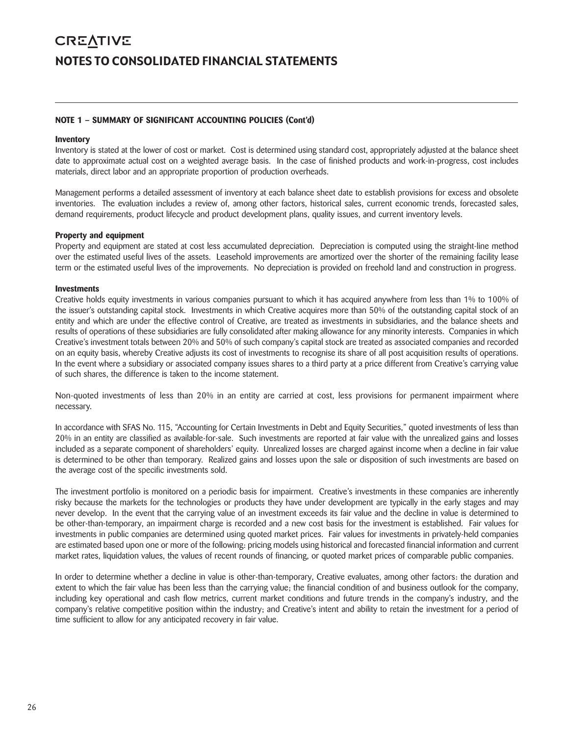# **CREATIVE** NOTES TO CONSOLIDATED FINANCIAL STATEMENTS

# **NOTE 1 – SUMMARY OF SIGNIFICANT ACCOUNTING POLICIES (Cont'd)**

### **Inventory**

Inventory is stated at the lower of cost or market. Cost is determined using standard cost, appropriately adjusted at the balance sheet date to approximate actual cost on a weighted average basis. In the case of finished products and work-in-progress, cost includes materials, direct labor and an appropriate proportion of production overheads.

Management performs a detailed assessment of inventory at each balance sheet date to establish provisions for excess and obsolete inventories. The evaluation includes a review of, among other factors, historical sales, current economic trends, forecasted sales, demand requirements, product lifecycle and product development plans, quality issues, and current inventory levels.

### **Property and equipment**

Property and equipment are stated at cost less accumulated depreciation. Depreciation is computed using the straight-line method over the estimated useful lives of the assets. Leasehold improvements are amortized over the shorter of the remaining facility lease term or the estimated useful lives of the improvements. No depreciation is provided on freehold land and construction in progress.

### **Investments**

Creative holds equity investments in various companies pursuant to which it has acquired anywhere from less than 1% to 100% of the issuer's outstanding capital stock. Investments in which Creative acquires more than 50% of the outstanding capital stock of an entity and which are under the effective control of Creative, are treated as investments in subsidiaries, and the balance sheets and results of operations of these subsidiaries are fully consolidated after making allowance for any minority interests. Companies in which Creative's investment totals between 20% and 50% of such company's capital stock are treated as associated companies and recorded on an equity basis, whereby Creative adjusts its cost of investments to recognise its share of all post acquisition results of operations. In the event where a subsidiary or associated company issues shares to a third party at a price different from Creative's carrying value of such shares, the difference is taken to the income statement.

Non-quoted investments of less than 20% in an entity are carried at cost, less provisions for permanent impairment where necessary.

In accordance with SFAS No. 115, "Accounting for Certain Investments in Debt and Equity Securities," quoted investments of less than 20% in an entity are classified as available-for-sale. Such investments are reported at fair value with the unrealized gains and losses included as a separate component of shareholders' equity. Unrealized losses are charged against income when a decline in fair value is determined to be other than temporary. Realized gains and losses upon the sale or disposition of such investments are based on the average cost of the specific investments sold.

The investment portfolio is monitored on a periodic basis for impairment. Creative's investments in these companies are inherently risky because the markets for the technologies or products they have under development are typically in the early stages and may never develop. In the event that the carrying value of an investment exceeds its fair value and the decline in value is determined to be other-than-temporary, an impairment charge is recorded and a new cost basis for the investment is established. Fair values for investments in public companies are determined using quoted market prices. Fair values for investments in privately-held companies are estimated based upon one or more of the following: pricing models using historical and forecasted financial information and current market rates, liquidation values, the values of recent rounds of financing, or quoted market prices of comparable public companies.

In order to determine whether a decline in value is other-than-temporary, Creative evaluates, among other factors: the duration and extent to which the fair value has been less than the carrying value; the financial condition of and business outlook for the company, including key operational and cash flow metrics, current market conditions and future trends in the company's industry, and the company's relative competitive position within the industry; and Creative's intent and ability to retain the investment for a period of time sufficient to allow for any anticipated recovery in fair value.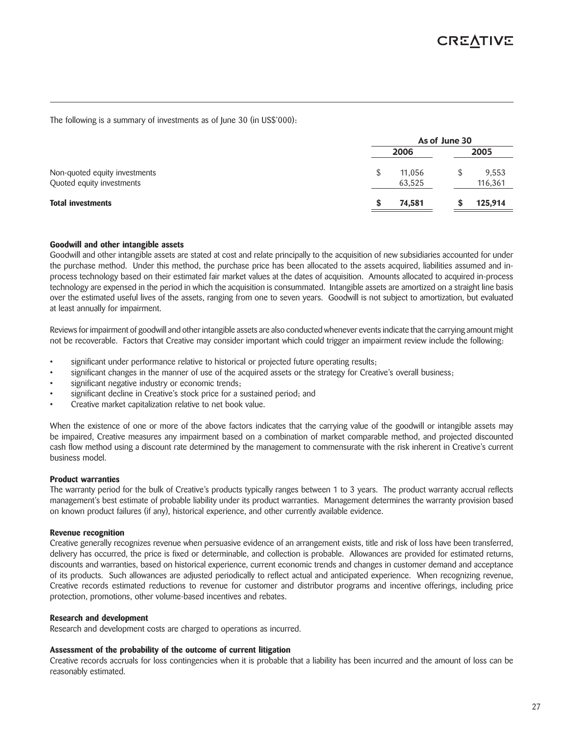The following is a summary of investments as of June 30 (in US\$'000):

|                                                            | As of June 30 |                  |  |                  |
|------------------------------------------------------------|---------------|------------------|--|------------------|
|                                                            |               | 2006             |  | 2005             |
| Non-quoted equity investments<br>Quoted equity investments |               | 11,056<br>63,525 |  | 9,553<br>116,361 |
| <b>Total investments</b>                                   |               | 74,581           |  | 125,914          |

### **Goodwill and other intangible assets**

Goodwill and other intangible assets are stated at cost and relate principally to the acquisition of new subsidiaries accounted for under the purchase method. Under this method, the purchase price has been allocated to the assets acquired, liabilities assumed and inprocess technology based on their estimated fair market values at the dates of acquisition. Amounts allocated to acquired in-process technology are expensed in the period in which the acquisition is consummated. Intangible assets are amortized on a straight line basis over the estimated useful lives of the assets, ranging from one to seven years. Goodwill is not subject to amortization, but evaluated at least annually for impairment.

Reviews for impairment of goodwill and other intangible assets are also conducted whenever events indicate that the carrying amount might not be recoverable. Factors that Creative may consider important which could trigger an impairment review include the following:

- significant under performance relative to historical or projected future operating results;
- significant changes in the manner of use of the acquired assets or the strategy for Creative's overall business;
- significant negative industry or economic trends;
- significant decline in Creative's stock price for a sustained period; and
- Creative market capitalization relative to net book value.

When the existence of one or more of the above factors indicates that the carrying value of the goodwill or intangible assets may be impaired, Creative measures any impairment based on a combination of market comparable method, and projected discounted cash flow method using a discount rate determined by the management to commensurate with the risk inherent in Creative's current business model.

### **Product warranties**

The warranty period for the bulk of Creative's products typically ranges between 1 to 3 years. The product warranty accrual reflects management's best estimate of probable liability under its product warranties. Management determines the warranty provision based on known product failures (if any), historical experience, and other currently available evidence.

### **Revenue recognition**

Creative generally recognizes revenue when persuasive evidence of an arrangement exists, title and risk of loss have been transferred, delivery has occurred, the price is fixed or determinable, and collection is probable. Allowances are provided for estimated returns, discounts and warranties, based on historical experience, current economic trends and changes in customer demand and acceptance of its products. Such allowances are adjusted periodically to reflect actual and anticipated experience. When recognizing revenue, Creative records estimated reductions to revenue for customer and distributor programs and incentive offerings, including price protection, promotions, other volume-based incentives and rebates.

### **Research and development**

Research and development costs are charged to operations as incurred.

### **Assessment of the probability of the outcome of current litigation**

Creative records accruals for loss contingencies when it is probable that a liability has been incurred and the amount of loss can be reasonably estimated.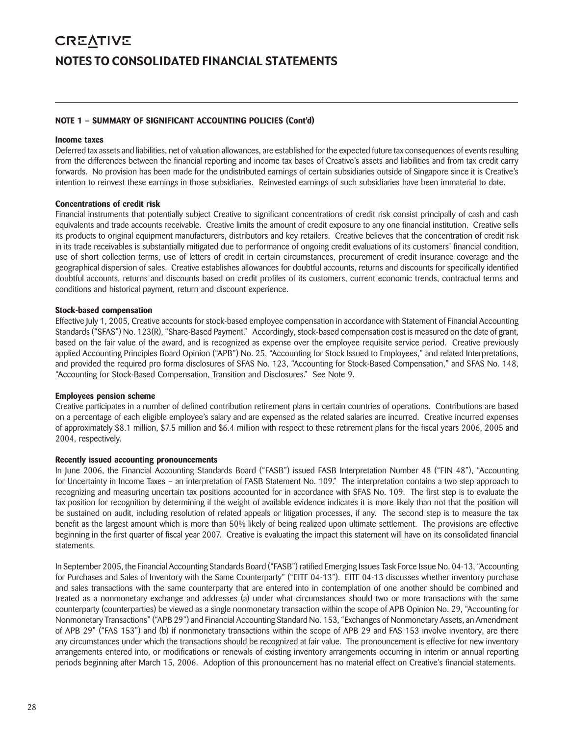# **CREATIVE** NOTES TO CONSOLIDATED FINANCIAL STATEMENTS

# **NOTE 1 – SUMMARY OF SIGNIFICANT ACCOUNTING POLICIES (Cont'd)**

### **Income taxes**

Deferred tax assets and liabilities, net of valuation allowances, are established for the expected future tax consequences of events resulting from the differences between the financial reporting and income tax bases of Creative's assets and liabilities and from tax credit carry forwards. No provision has been made for the undistributed earnings of certain subsidiaries outside of Singapore since it is Creative's intention to reinvest these earnings in those subsidiaries. Reinvested earnings of such subsidiaries have been immaterial to date.

### **Concentrations of credit risk**

Financial instruments that potentially subject Creative to significant concentrations of credit risk consist principally of cash and cash equivalents and trade accounts receivable. Creative limits the amount of credit exposure to any one financial institution. Creative sells its products to original equipment manufacturers, distributors and key retailers. Creative believes that the concentration of credit risk in its trade receivables is substantially mitigated due to performance of ongoing credit evaluations of its customers' financial condition, use of short collection terms, use of letters of credit in certain circumstances, procurement of credit insurance coverage and the geographical dispersion of sales. Creative establishes allowances for doubtful accounts, returns and discounts for specifically identified doubtful accounts, returns and discounts based on credit profiles of its customers, current economic trends, contractual terms and conditions and historical payment, return and discount experience.

### **Stock-based compensation**

Effective July 1, 2005, Creative accounts for stock-based employee compensation in accordance with Statement of Financial Accounting Standards ("SFAS") No. 123(R), "Share-Based Payment." Accordingly, stock-based compensation cost is measured on the date of grant, based on the fair value of the award, and is recognized as expense over the employee requisite service period. Creative previously applied Accounting Principles Board Opinion ("APB") No. 25, "Accounting for Stock Issued to Employees," and related Interpretations, and provided the required pro forma disclosures of SFAS No. 123, "Accounting for Stock-Based Compensation," and SFAS No. 148, "Accounting for Stock-Based Compensation, Transition and Disclosures." See Note 9.

# **Employees pension scheme**

Creative participates in a number of defined contribution retirement plans in certain countries of operations. Contributions are based on a percentage of each eligible employee's salary and are expensed as the related salaries are incurred. Creative incurred expenses of approximately \$8.1 million, \$7.5 million and \$6.4 million with respect to these retirement plans for the fiscal years 2006, 2005 and 2004, respectively.

# **Recently issued accounting pronouncements**

In June 2006, the Financial Accounting Standards Board ("FASB") issued FASB Interpretation Number 48 ("FIN 48"), "Accounting for Uncertainty in Income Taxes – an interpretation of FASB Statement No. 109." The interpretation contains a two step approach to recognizing and measuring uncertain tax positions accounted for in accordance with SFAS No. 109. The first step is to evaluate the tax position for recognition by determining if the weight of available evidence indicates it is more likely than not that the position will be sustained on audit, including resolution of related appeals or litigation processes, if any. The second step is to measure the tax benefit as the largest amount which is more than 50% likely of being realized upon ultimate settlement. The provisions are effective beginning in the first quarter of fiscal year 2007. Creative is evaluating the impact this statement will have on its consolidated financial statements.

In September 2005, the Financial Accounting Standards Board ("FASB") ratified Emerging Issues Task Force Issue No. 04-13, "Accounting for Purchases and Sales of Inventory with the Same Counterparty" ("EITF 04-13"). EITF 04-13 discusses whether inventory purchase and sales transactions with the same counterparty that are entered into in contemplation of one another should be combined and treated as a nonmonetary exchange and addresses (a) under what circumstances should two or more transactions with the same counterparty (counterparties) be viewed as a single nonmonetary transaction within the scope of APB Opinion No. 29, "Accounting for Nonmonetary Transactions" ("APB 29") and Financial Accounting Standard No. 153, "Exchanges of Nonmonetary Assets, an Amendment of APB 29" ("FAS 153") and (b) if nonmonetary transactions within the scope of APB 29 and FAS 153 involve inventory, are there any circumstances under which the transactions should be recognized at fair value. The pronouncement is effective for new inventory arrangements entered into, or modifications or renewals of existing inventory arrangements occurring in interim or annual reporting periods beginning after March 15, 2006. Adoption of this pronouncement has no material effect on Creative's financial statements.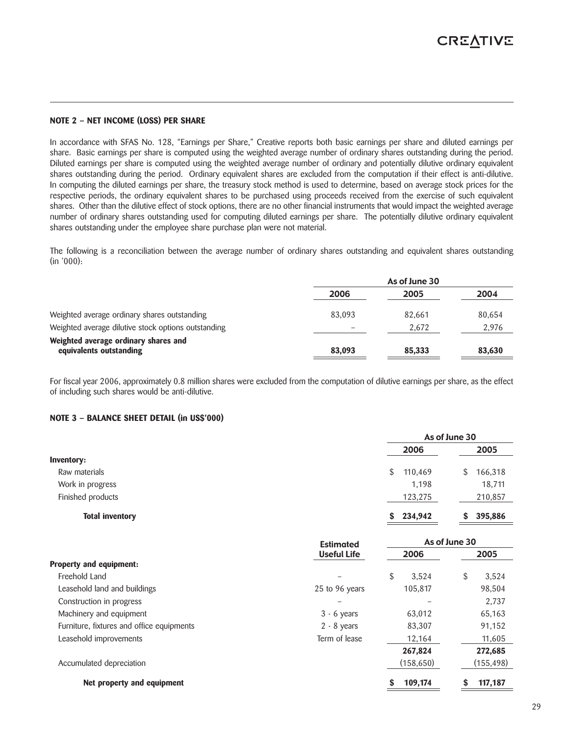#### **NOTE 2 – NET INCOME (LOSS) PER SHARE**

In accordance with SFAS No. 128, "Earnings per Share," Creative reports both basic earnings per share and diluted earnings per share. Basic earnings per share is computed using the weighted average number of ordinary shares outstanding during the period. Diluted earnings per share is computed using the weighted average number of ordinary and potentially dilutive ordinary equivalent shares outstanding during the period. Ordinary equivalent shares are excluded from the computation if their effect is anti-dilutive. In computing the diluted earnings per share, the treasury stock method is used to determine, based on average stock prices for the respective periods, the ordinary equivalent shares to be purchased using proceeds received from the exercise of such equivalent shares. Other than the dilutive effect of stock options, there are no other financial instruments that would impact the weighted average number of ordinary shares outstanding used for computing diluted earnings per share. The potentially dilutive ordinary equivalent shares outstanding under the employee share purchase plan were not material.

The following is a reconciliation between the average number of ordinary shares outstanding and equivalent shares outstanding (in '000):

|                                                                 |        | As of June 30 |        |
|-----------------------------------------------------------------|--------|---------------|--------|
|                                                                 | 2006   | 2005          | 2004   |
| Weighted average ordinary shares outstanding                    | 83,093 | 82,661        | 80,654 |
| Weighted average dilutive stock options outstanding             |        | 2.672         | 2,976  |
| Weighted average ordinary shares and<br>equivalents outstanding | 83,093 | 85,333        | 83,630 |

For fiscal year 2006, approximately 0.8 million shares were excluded from the computation of dilutive earnings per share, as the effect of including such shares would be anti-dilutive.

# **NOTE 3 – BALANCE SHEET DETAIL (in US\$'000)**

|                        |               | As of June 30 |
|------------------------|---------------|---------------|
|                        | 2006          | 2005          |
| <b>Inventory:</b>      |               |               |
| Raw materials          | 110,469<br>\$ | 166,318<br>\$ |
| Work in progress       | 1.198         | 18,711        |
| Finished products      | 123,275       | 210,857       |
| <b>Total inventory</b> | 234,942<br>S. | 395,886       |

|                                           | Estimated          |             | As of June 30 |
|-------------------------------------------|--------------------|-------------|---------------|
|                                           | <b>Useful Life</b> | 2006        | 2005          |
| Property and equipment:                   |                    |             |               |
| Freehold Land                             |                    | \$<br>3.524 | 3,524<br>\$   |
| Leasehold land and buildings              | 25 to 96 years     | 105,817     | 98,504        |
| Construction in progress                  |                    |             | 2,737         |
| Machinery and equipment                   | $3 - 6$ years      | 63,012      | 65,163        |
| Furniture, fixtures and office equipments | $2 - 8$ years      | 83,307      | 91,152        |
| Leasehold improvements                    | Term of lease      | 12,164      | 11,605        |
|                                           |                    | 267,824     | 272,685       |
| Accumulated depreciation                  |                    | (158, 650)  | (155, 498)    |
| Net property and equipment                |                    | 109,174     | 117,187       |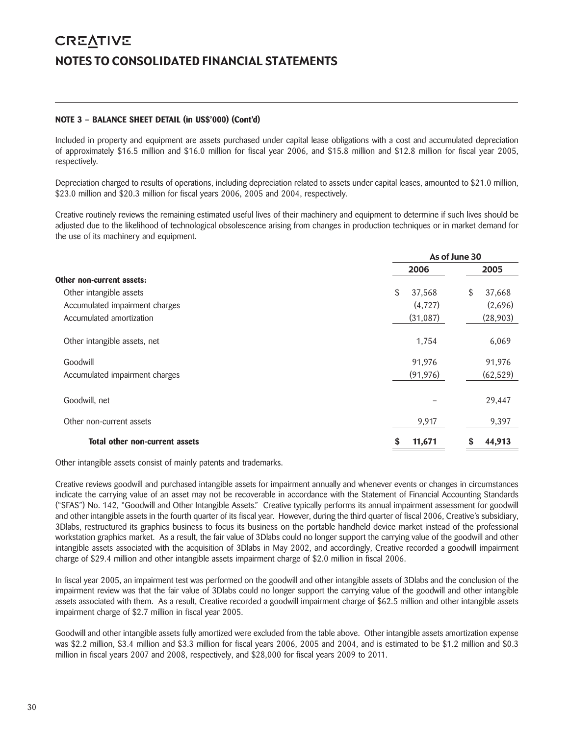# **CREATIVE** NOTES TO CONSOLIDATED FINANCIAL STATEMENTS

# **NOTE 3 – BALANCE SHEET DETAIL (in US\$'000) (Cont'd)**

Included in property and equipment are assets purchased under capital lease obligations with a cost and accumulated depreciation of approximately \$16.5 million and \$16.0 million for fiscal year 2006, and \$15.8 million and \$12.8 million for fiscal year 2005, respectively.

Depreciation charged to results of operations, including depreciation related to assets under capital leases, amounted to \$21.0 million, \$23.0 million and \$20.3 million for fiscal years 2006, 2005 and 2004, respectively.

Creative routinely reviews the remaining estimated useful lives of their machinery and equipment to determine if such lives should be adjusted due to the likelihood of technological obsolescence arising from changes in production techniques or in market demand for the use of its machinery and equipment.

|                                | As of June 30 |              |  |
|--------------------------------|---------------|--------------|--|
|                                | 2006          | 2005         |  |
| Other non-current assets:      |               |              |  |
| Other intangible assets        | \$<br>37,568  | \$<br>37,668 |  |
| Accumulated impairment charges | (4,727)       | (2,696)      |  |
| Accumulated amortization       | (31,087)      | (28, 903)    |  |
| Other intangible assets, net   | 1,754         | 6,069        |  |
| Goodwill                       | 91,976        | 91,976       |  |
| Accumulated impairment charges | (91, 976)     | (62, 529)    |  |
| Goodwill, net                  |               | 29,447       |  |
| Other non-current assets       | 9,917         | 9,397        |  |
| Total other non-current assets | 11,671<br>S   | 44,913<br>S  |  |

Other intangible assets consist of mainly patents and trademarks.

Creative reviews goodwill and purchased intangible assets for impairment annually and whenever events or changes in circumstances indicate the carrying value of an asset may not be recoverable in accordance with the Statement of Financial Accounting Standards ("SFAS") No. 142, "Goodwill and Other Intangible Assets." Creative typically performs its annual impairment assessment for goodwill and other intangible assets in the fourth quarter of its fiscal year. However, during the third quarter of fiscal 2006, Creative's subsidiary, 3Dlabs, restructured its graphics business to focus its business on the portable handheld device market instead of the professional workstation graphics market. As a result, the fair value of 3Dlabs could no longer support the carrying value of the goodwill and other intangible assets associated with the acquisition of 3Dlabs in May 2002, and accordingly, Creative recorded a goodwill impairment charge of \$29.4 million and other intangible assets impairment charge of \$2.0 million in fiscal 2006.

In fiscal year 2005, an impairment test was performed on the goodwill and other intangible assets of 3Dlabs and the conclusion of the impairment review was that the fair value of 3Dlabs could no longer support the carrying value of the goodwill and other intangible assets associated with them. As a result, Creative recorded a goodwill impairment charge of \$62.5 million and other intangible assets impairment charge of \$2.7 million in fiscal year 2005.

Goodwill and other intangible assets fully amortized were excluded from the table above. Other intangible assets amortization expense was \$2.2 million, \$3.4 million and \$3.3 million for fiscal years 2006, 2005 and 2004, and is estimated to be \$1.2 million and \$0.3 million in fiscal years 2007 and 2008, respectively, and \$28,000 for fiscal years 2009 to 2011.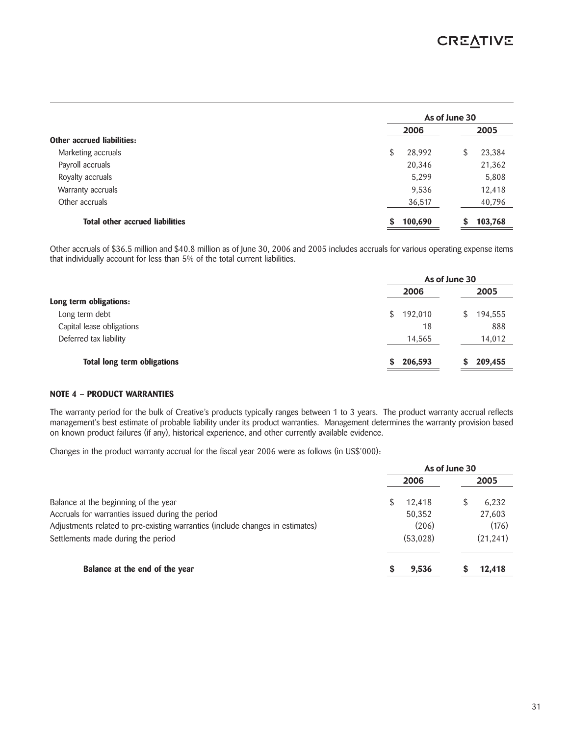|                                        |              | As of June 30 |  |  |  |
|----------------------------------------|--------------|---------------|--|--|--|
|                                        | 2006         | 2005          |  |  |  |
| <b>Other accrued liabilities:</b>      |              |               |  |  |  |
| Marketing accruals                     | \$<br>28,992 | 23,384<br>\$  |  |  |  |
| Payroll accruals                       | 20,346       | 21,362        |  |  |  |
| Royalty accruals                       | 5,299        | 5,808         |  |  |  |
| Warranty accruals                      | 9,536        | 12,418        |  |  |  |
| Other accruals                         | 36,517       | 40,796        |  |  |  |
| <b>Total other accrued liabilities</b> | 100,690<br>S | 103,768       |  |  |  |

Other accruals of \$36.5 million and \$40.8 million as of June 30, 2006 and 2005 includes accruals for various operating expense items that individually account for less than 5% of the total current liabilities.

|                                    | As of June 30 |               |
|------------------------------------|---------------|---------------|
|                                    | 2006          | 2005          |
| Long term obligations:             |               |               |
| Long term debt                     | 192,010<br>\$ | 194,555<br>S. |
| Capital lease obligations          | 18            | 888           |
| Deferred tax liability             | 14,565        | 14,012        |
| <b>Total long term obligations</b> | 206,593       | 209,455       |

# **NOTE 4 – PRODUCT WARRANTIES**

The warranty period for the bulk of Creative's products typically ranges between 1 to 3 years. The product warranty accrual reflects management's best estimate of probable liability under its product warranties. Management determines the warranty provision based on known product failures (if any), historical experience, and other currently available evidence.

Changes in the product warranty accrual for the fiscal year 2006 were as follows (in US\$'000):

|                                                                               | As of June 30 |          |  |           |
|-------------------------------------------------------------------------------|---------------|----------|--|-----------|
|                                                                               |               | 2006     |  | 2005      |
| Balance at the beginning of the year                                          |               | 12,418   |  | 6.232     |
| Accruals for warranties issued during the period                              |               | 50,352   |  | 27,603    |
| Adjustments related to pre-existing warranties (include changes in estimates) |               | (206)    |  | (176)     |
| Settlements made during the period                                            |               | (53,028) |  | (21, 241) |
| Balance at the end of the year                                                |               | 9,536    |  | 12,418    |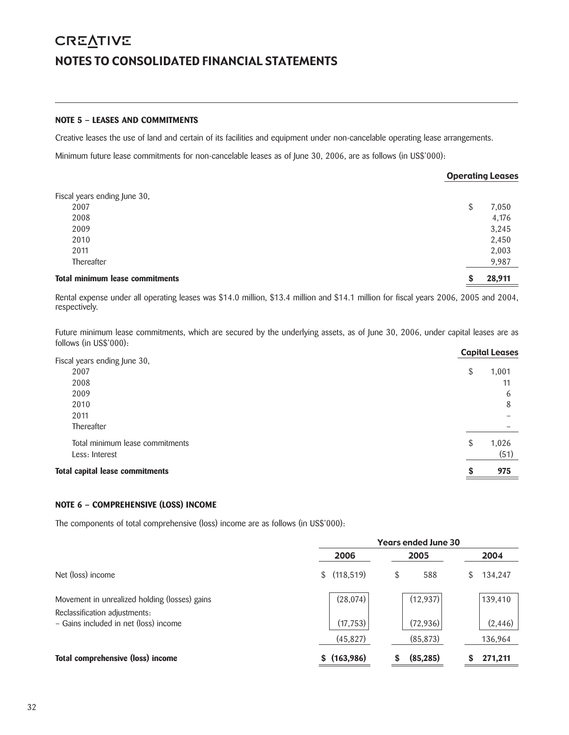# **CREATIVE** NOTES TO CONSOLIDATED FINANCIAL STATEMENTS

# **NOTE 5 – LEASES AND COMMITMENTS**

Creative leases the use of land and certain of its facilities and equipment under non-cancelable operating lease arrangements.

Minimum future lease commitments for non-cancelable leases as of June 30, 2006, are as follows (in US\$'000):

|                                        |   | <b>Operating Leases</b> |
|----------------------------------------|---|-------------------------|
| Fiscal years ending June 30,           |   |                         |
| 2007                                   |   | 7,050                   |
| 2008                                   |   | 4,176                   |
| 2009                                   |   | 3,245                   |
| 2010                                   |   | 2,450                   |
| 2011                                   |   | 2,003                   |
| Thereafter                             |   | 9,987                   |
| <b>Total minimum lease commitments</b> | S | 28,911                  |

Rental expense under all operating leases was \$14.0 million, \$13.4 million and \$14.1 million for fiscal years 2006, 2005 and 2004, respectively.

Future minimum lease commitments, which are secured by the underlying assets, as of June 30, 2006, under capital leases are as follows (in US\$'000):

|                                 |    | <b>Capital Leases</b> |
|---------------------------------|----|-----------------------|
| Fiscal years ending June 30,    |    |                       |
| 2007                            | \$ | 1,001                 |
| 2008                            |    | 11                    |
| 2009                            |    | 6                     |
| 2010                            |    | 8                     |
| 2011                            |    |                       |
| Thereafter                      |    |                       |
| Total minimum lease commitments | \$ | 1,026                 |
| Less: Interest                  |    | (51)                  |
| Total capital lease commitments | S  | 975                   |
|                                 |    |                       |

# **NOTE 6 – COMPREHENSIVE (LOSS) INCOME**

The components of total comprehensive (loss) income are as follows (in US\$'000):

|                                                                        | <b>Years ended June 30</b> |           |              |  |  |  |
|------------------------------------------------------------------------|----------------------------|-----------|--------------|--|--|--|
|                                                                        | 2006                       | 2005      | 2004         |  |  |  |
| Net (loss) income                                                      | (118, 519)<br>\$           | 588<br>\$ | 134,247<br>S |  |  |  |
| Movement in unrealized holding (losses) gains                          | (28,074)                   | (12, 937) | 139,410      |  |  |  |
| Reclassification adjustments:<br>- Gains included in net (loss) income | (17, 753)                  | (72, 936) | (2, 446)     |  |  |  |
|                                                                        | (45, 827)                  | (85, 873) | 136,964      |  |  |  |
| Total comprehensive (loss) income                                      | (163,986)                  | (85, 285) | 271,211      |  |  |  |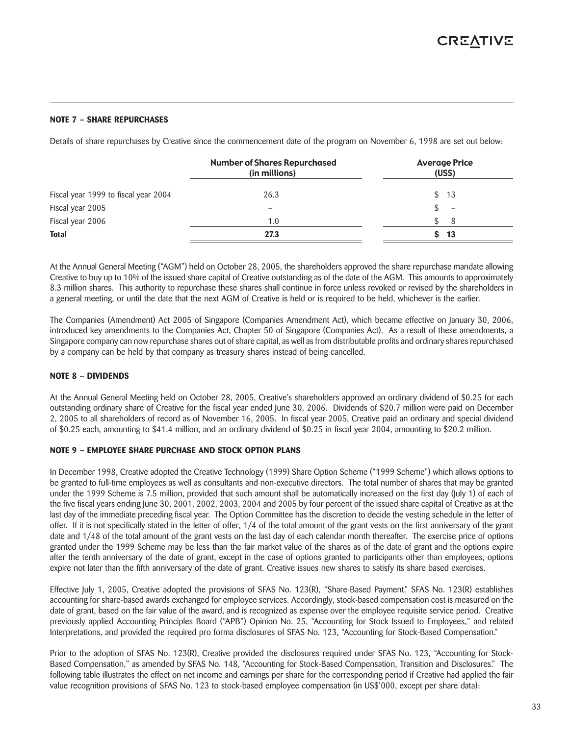# **NOTE 7 – SHARE REPURCHASES**

Details of share repurchases by Creative since the commencement date of the program on November 6, 1998 are set out below:

|                                      | <b>Number of Shares Repurchased</b><br>(in millions) | <b>Average Price</b><br>(USS) |
|--------------------------------------|------------------------------------------------------|-------------------------------|
| Fiscal year 1999 to fiscal year 2004 | 26.3                                                 | \$13                          |
| Fiscal year 2005                     | $\overline{\phantom{m}}$                             | $\overline{\phantom{0}}$      |
| Fiscal year 2006                     | 1.0                                                  | \$.<br>8                      |
| <b>Total</b>                         | 27.3                                                 | 13<br>S.                      |

At the Annual General Meeting ("AGM") held on October 28, 2005, the shareholders approved the share repurchase mandate allowing Creative to buy up to 10% of the issued share capital of Creative outstanding as of the date of the AGM. This amounts to approximately 8.3 million shares. This authority to repurchase these shares shall continue in force unless revoked or revised by the shareholders in a general meeting, or until the date that the next AGM of Creative is held or is required to be held, whichever is the earlier.

The Companies (Amendment) Act 2005 of Singapore (Companies Amendment Act), which became effective on January 30, 2006, introduced key amendments to the Companies Act, Chapter 50 of Singapore (Companies Act). As a result of these amendments, a Singapore company can now repurchase shares out of share capital, as well as from distributable profits and ordinary shares repurchased by a company can be held by that company as treasury shares instead of being cancelled.

# **NOTE 8 – DIVIDENDS**

At the Annual General Meeting held on October 28, 2005, Creative's shareholders approved an ordinary dividend of \$0.25 for each outstanding ordinary share of Creative for the fiscal year ended June 30, 2006. Dividends of \$20.7 million were paid on December 2, 2005 to all shareholders of record as of November 16, 2005. In fiscal year 2005, Creative paid an ordinary and special dividend of \$0.25 each, amounting to \$41.4 million, and an ordinary dividend of \$0.25 in fiscal year 2004, amounting to \$20.2 million.

# **NOTE 9 – EMPLOYEE SHARE PURCHASE AND STOCK OPTION PLANS**

In December 1998, Creative adopted the Creative Technology (1999) Share Option Scheme ("1999 Scheme") which allows options to be granted to full-time employees as well as consultants and non-executive directors. The total number of shares that may be granted under the 1999 Scheme is 7.5 million, provided that such amount shall be automatically increased on the first day (July 1) of each of the five fiscal years ending June 30, 2001, 2002, 2003, 2004 and 2005 by four percent of the issued share capital of Creative as at the last day of the immediate preceding fiscal year. The Option Committee has the discretion to decide the vesting schedule in the letter of offer. If it is not specifically stated in the letter of offer, 1/4 of the total amount of the grant vests on the first anniversary of the grant date and  $1/48$  of the total amount of the grant vests on the last day of each calendar month thereafter. The exercise price of options granted under the 1999 Scheme may be less than the fair market value of the shares as of the date of grant and the options expire after the tenth anniversary of the date of grant, except in the case of options granted to participants other than employees, options expire not later than the fifth anniversary of the date of grant. Creative issues new shares to satisfy its share based exercises.

Effective July 1, 2005, Creative adopted the provisions of SFAS No. 123(R), "Share-Based Payment." SFAS No. 123(R) establishes accounting for share-based awards exchanged for employee services. Accordingly, stock-based compensation cost is measured on the date of grant, based on the fair value of the award, and is recognized as expense over the employee requisite service period. Creative previously applied Accounting Principles Board ("APB") Opinion No. 25, "Accounting for Stock Issued to Employees," and related Interpretations, and provided the required pro forma disclosures of SFAS No. 123, "Accounting for Stock-Based Compensation."

Prior to the adoption of SFAS No. 123(R), Creative provided the disclosures required under SFAS No. 123, "Accounting for Stock-Based Compensation," as amended by SFAS No. 148, "Accounting for Stock-Based Compensation, Transition and Disclosures." The following table illustrates the effect on net income and earnings per share for the corresponding period if Creative had applied the fair value recognition provisions of SFAS No. 123 to stock-based employee compensation (in US\$'000, except per share data):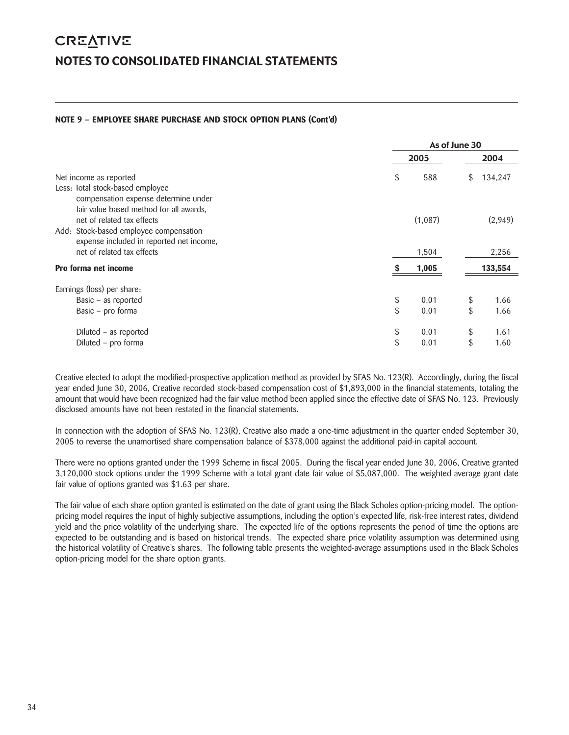# **NOTE 9 – EMPLOYEE SHARE PURCHASE AND STOCK OPTION PLANS (Cont'd)**

|                                                                                 |            | As of June 30 |         |
|---------------------------------------------------------------------------------|------------|---------------|---------|
|                                                                                 | 2005       |               | 2004    |
| Net income as reported                                                          | \$<br>588  | \$            | 134,247 |
| Less: Total stock-based employee                                                |            |               |         |
| compensation expense determine under<br>fair value based method for all awards, |            |               |         |
| net of related tax effects                                                      | (1,087)    |               | (2,949) |
| Add: Stock-based employee compensation                                          |            |               |         |
| expense included in reported net income,                                        |            |               |         |
| net of related tax effects                                                      | 1,504      |               | 2,256   |
| Pro forma net income                                                            | 1,005      |               | 133,554 |
| Earnings (loss) per share:                                                      |            |               |         |
| Basic - as reported                                                             | \$<br>0.01 | \$            | 1.66    |
| Basic – pro forma                                                               | \$<br>0.01 | \$            | 1.66    |
| Diluted – as reported                                                           | \$<br>0.01 | \$            | 1.61    |
| Diluted - pro forma                                                             | \$<br>0.01 | \$            | 1.60    |

Creative elected to adopt the modified-prospective application method as provided by SFAS No. 123(R). Accordingly, during the fiscal year ended June 30, 2006, Creative recorded stock-based compensation cost of \$1,893,000 in the financial statements, totaling the amount that would have been recognized had the fair value method been applied since the effective date of SFAS No. 123. Previously disclosed amounts have not been restated in the financial statements.

In connection with the adoption of SFAS No. 123(R), Creative also made a one-time adjustment in the quarter ended September 30, 2005 to reverse the unamortised share compensation balance of \$378,000 against the additional paid-in capital account.

There were no options granted under the 1999 Scheme in fiscal 2005. During the fiscal year ended June 30, 2006, Creative granted 3,120,000 stock options under the 1999 Scheme with a total grant date fair value of \$5,087,000. The weighted average grant date fair value of options granted was \$1.63 per share.

The fair value of each share option granted is estimated on the date of grant using the Black Scholes option-pricing model. The optionpricing model requires the input of highly subjective assumptions, including the option's expected life, risk-free interest rates, dividend yield and the price volatility of the underlying share. The expected life of the options represents the period of time the options are expected to be outstanding and is based on historical trends. The expected share price volatility assumption was determined using the historical volatility of Creative's shares. The following table presents the weighted-average assumptions used in the Black Scholes option-pricing model for the share option grants.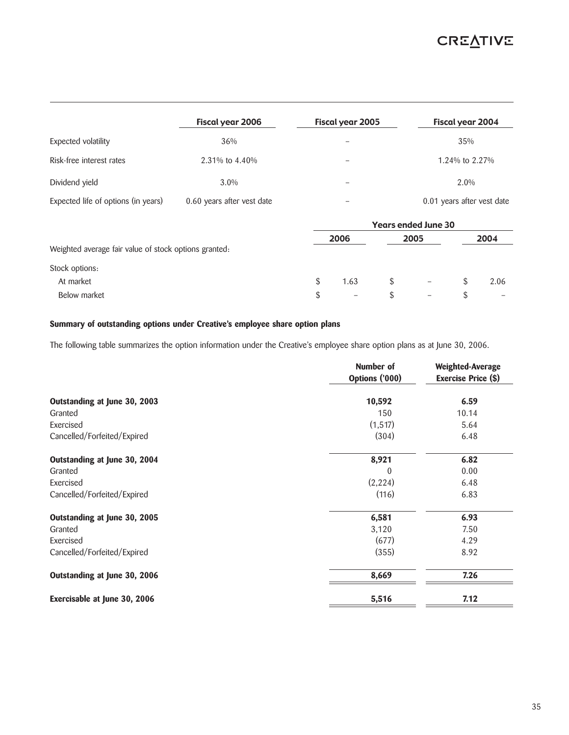# **CREATIVE**

|                                                       | Fiscal year 2006           |    | Fiscal year 2005 |    |                            | Fiscal year 2004           |      |  |  |
|-------------------------------------------------------|----------------------------|----|------------------|----|----------------------------|----------------------------|------|--|--|
| Expected volatility                                   | 36%                        |    |                  |    |                            | 35%                        |      |  |  |
| Risk-free interest rates                              | 2.31% to 4.40%             |    |                  |    |                            | 1.24% to 2.27%             |      |  |  |
| Dividend yield                                        | $3.0\%$                    |    |                  |    |                            | 2.0%                       |      |  |  |
| Expected life of options (in years)                   | 0.60 years after vest date |    |                  |    |                            | 0.01 years after vest date |      |  |  |
|                                                       |                            |    |                  |    | <b>Years ended June 30</b> |                            |      |  |  |
|                                                       |                            |    | 2006             |    | 2005                       |                            | 2004 |  |  |
| Weighted average fair value of stock options granted: |                            |    |                  |    |                            |                            |      |  |  |
| Stock options:                                        |                            |    |                  |    |                            |                            |      |  |  |
| At market                                             |                            | \$ | 1.63             | \$ |                            | \$                         | 2.06 |  |  |
| Below market                                          |                            | \$ |                  | \$ |                            | \$                         |      |  |  |

# **Summary of outstanding options under Creative's employee share option plans**

The following table summarizes the option information under the Creative's employee share option plans as at June 30, 2006.

|                              | Number of<br>Options ('000) | Weighted-Average<br>Exercise Price (\$) |
|------------------------------|-----------------------------|-----------------------------------------|
| Outstanding at June 30, 2003 | 10,592                      | 6.59                                    |
| Granted                      | 150                         | 10.14                                   |
| Exercised                    | (1, 517)                    | 5.64                                    |
| Cancelled/Forfeited/Expired  | (304)                       | 6.48                                    |
| Outstanding at June 30, 2004 | 8,921                       | 6.82                                    |
| Granted                      | $\theta$                    | 0.00                                    |
| Exercised                    | (2, 224)                    | 6.48                                    |
| Cancelled/Forfeited/Expired  | (116)                       | 6.83                                    |
| Outstanding at June 30, 2005 | 6,581                       | 6.93                                    |
| Granted                      | 3,120                       | 7.50                                    |
| Exercised                    | (677)                       | 4.29                                    |
| Cancelled/Forfeited/Expired  | (355)                       | 8.92                                    |
| Outstanding at June 30, 2006 | 8,669                       | 7.26                                    |
| Exercisable at June 30, 2006 | 5,516                       | 7.12                                    |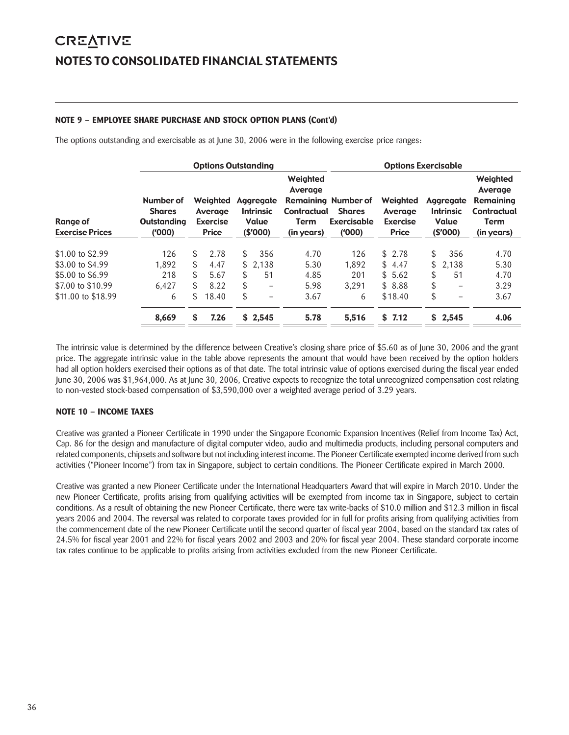# **NOTE 9 – EMPLOYEE SHARE PURCHASE AND STOCK OPTION PLANS (Cont'd)**

The options outstanding and exercisable as at June 30, 2006 were in the following exercise price ranges:

|                                    |                                                            | <b>Options Outstanding</b>                             |                                                   |                                                          | <b>Options Exercisable</b>                                           |                                                        |     |                                                   |                                                                                     |
|------------------------------------|------------------------------------------------------------|--------------------------------------------------------|---------------------------------------------------|----------------------------------------------------------|----------------------------------------------------------------------|--------------------------------------------------------|-----|---------------------------------------------------|-------------------------------------------------------------------------------------|
| Range of<br><b>Exercise Prices</b> | Number of<br><b>Shares</b><br><b>Outstanding</b><br>(1000) | Weighted<br>Average<br><b>Exercise</b><br><b>Price</b> | Aggregate<br><b>Intrinsic</b><br>Value<br>(S'000) | Weighted<br>Average<br>Contractual<br>Term<br>(in years) | <b>Remaining Number of</b><br><b>Shares</b><br>Exercisable<br>(1000) | Weighted<br>Average<br><b>Exercise</b><br><b>Price</b> |     | Aggregate<br><b>Intrinsic</b><br>Value<br>(S'000) | Weighted<br>Average<br><b>Remaining</b><br>Contractual<br><b>Term</b><br>(in years) |
| \$1.00 to \$2.99                   | 126                                                        | \$<br>2.78                                             | \$<br>356                                         | 4.70                                                     | 126                                                                  | \$2.78                                                 | \$. | 356                                               | 4.70                                                                                |
| \$3.00 to \$4.99                   | 1.892                                                      | \$<br>4.47                                             | \$2.138                                           | 5.30                                                     | 1.892                                                                | \$4.47                                                 | \$  | 2.138                                             | 5.30                                                                                |
| \$5.00 to \$6.99                   | 218                                                        | \$<br>5.67                                             | \$<br>51                                          | 4.85                                                     | 201                                                                  | \$5.62                                                 | \$  | 51                                                | 4.70                                                                                |
| \$7.00 to \$10.99                  | 6.427                                                      | \$<br>8.22                                             | \$<br>$\qquad \qquad$                             | 5.98                                                     | 3.291                                                                | \$8.88                                                 | \$  | -                                                 | 3.29                                                                                |
| \$11,00 to \$18.99                 | 6                                                          | \$<br>18.40                                            | \$<br>-                                           | 3.67                                                     | 6                                                                    | \$18.40                                                | \$  | $\equiv$                                          | 3.67                                                                                |
|                                    | 8,669                                                      | \$<br>7.26                                             | \$2,545                                           | 5.78                                                     | 5,516                                                                | \$7.12                                                 |     | \$2,545                                           | 4.06                                                                                |

The intrinsic value is determined by the difference between Creative's closing share price of \$5.60 as of June 30, 2006 and the grant price. The aggregate intrinsic value in the table above represents the amount that would have been received by the option holders had all option holders exercised their options as of that date. The total intrinsic value of options exercised during the fiscal year ended June 30, 2006 was \$1,964,000. As at June 30, 2006, Creative expects to recognize the total unrecognized compensation cost relating to non-vested stock-based compensation of \$3,590,000 over a weighted average period of 3.29 years.

# **NOTE 10 – INCOME TAXES**

Creative was granted a Pioneer Certificate in 1990 under the Singapore Economic Expansion Incentives (Relief from Income Tax) Act, Cap. 86 for the design and manufacture of digital computer video, audio and multimedia products, including personal computers and related components, chipsets and software but not including interest income. The Pioneer Certificate exempted income derived from such activities ("Pioneer Income") from tax in Singapore, subject to certain conditions. The Pioneer Certificate expired in March 2000.

Creative was granted a new Pioneer Certificate under the International Headquarters Award that will expire in March 2010. Under the new Pioneer Certificate, profits arising from qualifying activities will be exempted from income tax in Singapore, subject to certain conditions. As a result of obtaining the new Pioneer Certificate, there were tax write-backs of \$10.0 million and \$12.3 million in fiscal years 2006 and 2004. The reversal was related to corporate taxes provided for in full for profits arising from qualifying activities from the commencement date of the new Pioneer Certificate until the second quarter of fiscal year 2004, based on the standard tax rates of 24.5% for fiscal year 2001 and 22% for fiscal years 2002 and 2003 and 20% for fiscal year 2004. These standard corporate income tax rates continue to be applicable to profits arising from activities excluded from the new Pioneer Certificate.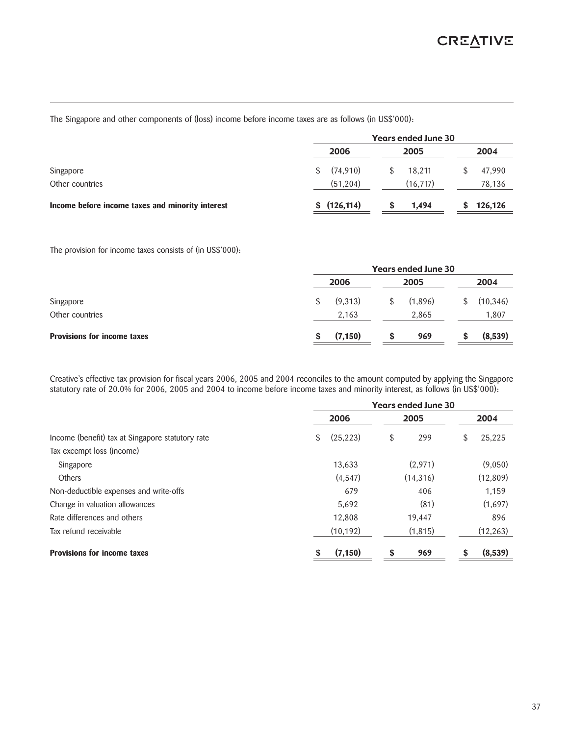The Singapore and other components of (loss) income before income taxes are as follows (in US\$'000):

|                                                  | <b>Years ended June 30</b><br>2006<br>2005 |  |          |  |         |  |
|--------------------------------------------------|--------------------------------------------|--|----------|--|---------|--|
|                                                  |                                            |  |          |  | 2004    |  |
| Singapore                                        | (74, 910)<br>S.                            |  | 18.211   |  | 47,990  |  |
| Other countries                                  | (51,204)                                   |  | (16.717) |  | 78,136  |  |
| Income before income taxes and minority interest | \$(126, 114)                               |  | 1.494    |  | 126,126 |  |

The provision for income taxes consists of (in US\$'000):

|                             | <b>Years ended June 30</b> |  |         |    |           |  |  |
|-----------------------------|----------------------------|--|---------|----|-----------|--|--|
|                             | 2006                       |  | 2005    |    | 2004      |  |  |
| Singapore                   | (9.313)                    |  | (1.896) | \$ | (10, 346) |  |  |
| Other countries             | 2,163                      |  | 2,865   |    | 1,807     |  |  |
| Provisions for income taxes | (7, 150)                   |  | 969     |    | (8,539)   |  |  |

Creative's effective tax provision for fiscal years 2006, 2005 and 2004 reconciles to the amount computed by applying the Singapore statutory rate of 20.0% for 2006, 2005 and 2004 to income before income taxes and minority interest, as follows (in US\$'000):

|                                                  | <b>Years ended June 30</b> |          |           |   |           |
|--------------------------------------------------|----------------------------|----------|-----------|---|-----------|
|                                                  | 2006                       |          | 2005      |   | 2004      |
| Income (benefit) tax at Singapore statutory rate | (25, 223)<br>\$            | \$       | 299       | S | 25,225    |
| Tax excempt loss (income)                        |                            |          |           |   |           |
| Singapore                                        | 13,633                     |          | (2,971)   |   | (9,050)   |
| <b>Others</b>                                    |                            | (4, 547) | (14, 316) |   | (12,809)  |
| Non-deductible expenses and write-offs           |                            | 679      | 406       |   | 1,159     |
| Change in valuation allowances                   | 5,692                      |          | (81)      |   | (1,697)   |
| Rate differences and others                      | 12,808                     |          | 19,447    |   | 896       |
| Tax refund receivable                            | (10, 192)                  |          | (1, 815)  |   | (12, 263) |
| <b>Provisions for income taxes</b>               | (7, 150)                   | S        | 969       |   | (8,539)   |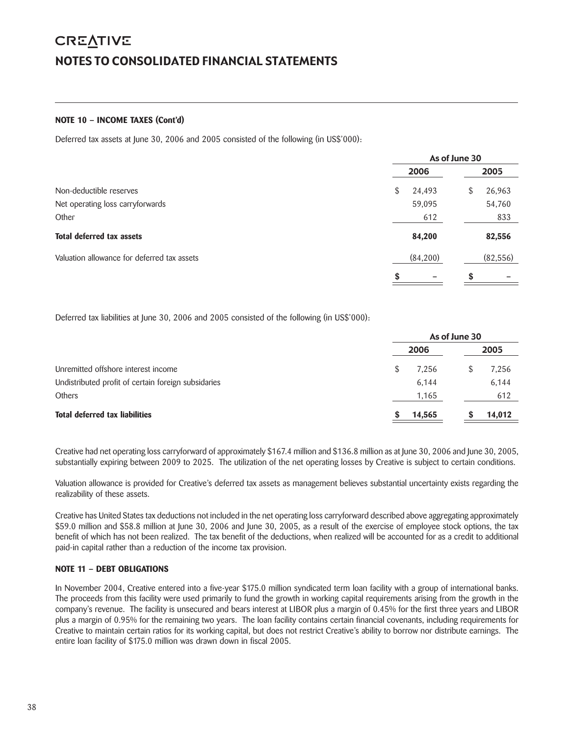# **CREATIVE** NOTES TO CONSOLIDATED FINANCIAL STATEMENTS

### **NOTE 10 – INCOME TAXES (Cont'd)**

Deferred tax assets at June 30, 2006 and 2005 consisted of the following (in US\$'000):

|                                             |              | As of June 30 |           |
|---------------------------------------------|--------------|---------------|-----------|
|                                             | 2006         |               | 2005      |
| Non-deductible reserves                     | \$<br>24,493 | S             | 26,963    |
| Net operating loss carryforwards            | 59,095       |               | 54,760    |
| Other                                       | 612          |               | 833       |
| Total deferred tax assets                   | 84,200       |               | 82,556    |
| Valuation allowance for deferred tax assets | (84,200)     |               | (82, 556) |
|                                             |              |               |           |

Deferred tax liabilities at June 30, 2006 and 2005 consisted of the following (in US\$'000):

|                                                     | As of June 30 |  |        |  |  |
|-----------------------------------------------------|---------------|--|--------|--|--|
|                                                     | 2006          |  | 2005   |  |  |
| Unremitted offshore interest income                 | 7.256         |  | 7,256  |  |  |
| Undistributed profit of certain foreign subsidaries | 6.144         |  | 6,144  |  |  |
| <b>Others</b>                                       | 1,165         |  | 612    |  |  |
| <b>Total deferred tax liabilities</b>               | 14,565        |  | 14,012 |  |  |

Creative had net operating loss carryforward of approximately \$167.4 million and \$136.8 million as at June 30, 2006 and June 30, 2005, substantially expiring between 2009 to 2025. The utilization of the net operating losses by Creative is subject to certain conditions.

Valuation allowance is provided for Creative's deferred tax assets as management believes substantial uncertainty exists regarding the realizability of these assets.

Creative has United States tax deductions not included in the net operating loss carryforward described above aggregating approximately \$59.0 million and \$58.8 million at June 30, 2006 and June 30, 2005, as a result of the exercise of employee stock options, the tax benefit of which has not been realized. The tax benefit of the deductions, when realized will be accounted for as a credit to additional paid-in capital rather than a reduction of the income tax provision.

# **NOTE 11 – DEBT OBLIGATIONS**

In November 2004, Creative entered into a five-year \$175.0 million syndicated term loan facility with a group of international banks. The proceeds from this facility were used primarily to fund the growth in working capital requirements arising from the growth in the company's revenue. The facility is unsecured and bears interest at LIBOR plus a margin of 0.45% for the first three years and LIBOR plus a margin of 0.95% for the remaining two years. The loan facility contains certain financial covenants, including requirements for Creative to maintain certain ratios for its working capital, but does not restrict Creative's ability to borrow nor distribute earnings. The entire loan facility of \$175.0 million was drawn down in fiscal 2005.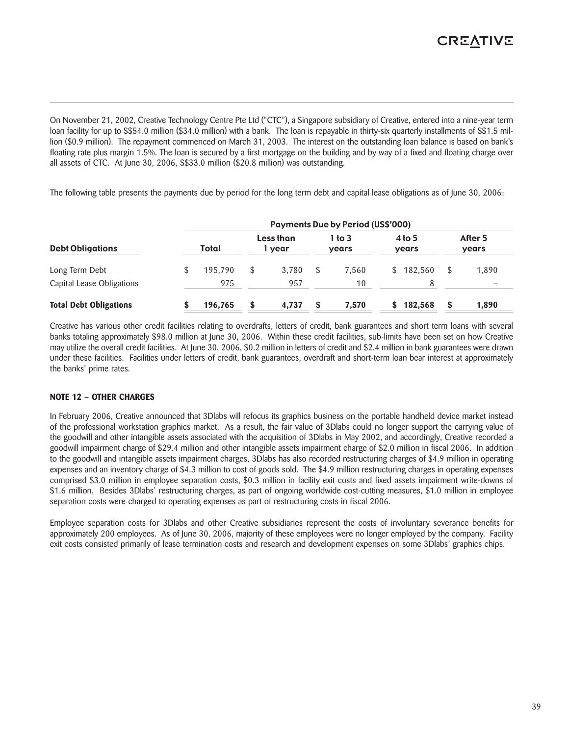On November 21, 2002, Creative Technology Centre Pte Ltd ("CTC"), a Singapore subsidiary of Creative, entered into a nine-year term loan facility for up to S\$54.0 million (\$34.0 million) with a bank. The loan is repayable in thirty-six quarterly installments of S\$1.5 million (\$0.9 million). The repayment commenced on March 31, 2003. The interest on the outstanding loan balance is based on bank's floating rate plus margin 1.5%. The loan is secured by a first mortgage on the building and by way of a fixed and floating charge over all assets of CTC. At June 30, 2006, S\$33.0 million (\$20.8 million) was outstanding.

The following table presents the payments due by period for the long term debt and capital lease obligations as of June 30, 2006:

| <b>Debt Obligations</b>       | <b>Payments Due by Period (US\$'000)</b> |   |                     |  |                     |  |                   |    |                          |  |
|-------------------------------|------------------------------------------|---|---------------------|--|---------------------|--|-------------------|----|--------------------------|--|
|                               | Total                                    |   | Less than<br>l year |  | $1$ to $3$<br>years |  | $4$ to 5<br>years |    | After 5<br>years         |  |
| Long Term Debt                | 195.790                                  | S | 3.780               |  | 7.560               |  | \$182,560         | \$ | 1.890                    |  |
| Capital Lease Obligations     | 975                                      |   | 957                 |  | 10                  |  |                   |    | $\overline{\phantom{m}}$ |  |
| <b>Total Debt Obligations</b> | 196,765                                  | S | 4.737               |  | 7,570               |  | 182,568           | \$ | 1,890                    |  |

Creative has various other credit facilities relating to overdrafts, letters of credit, bank guarantees and short term loans with several banks totaling approximately \$98.0 million at June 30, 2006. Within these credit facilities, sub-limits have been set on how Creative may utilize the overall credit facilities. At June 30, 2006, \$0.2 million in letters of credit and \$2.4 million in bank guarantees were drawn under these facilities. Facilities under letters of credit, bank guarantees, overdraft and short-term loan bear interest at approximately the banks' prime rates.

# **NOTE 12 – OTHER CHARGES**

In February 2006, Creative announced that 3Dlabs will refocus its graphics business on the portable handheld device market instead of the professional workstation graphics market. As a result, the fair value of 3Dlabs could no longer support the carrying value of the goodwill and other intangible assets associated with the acquisition of 3Dlabs in May 2002, and accordingly, Creative recorded a goodwill impairment charge of \$29.4 million and other intangible assets impairment charge of \$2.0 million in fiscal 2006. In addition to the goodwill and intangible assets impairment charges, 3Dlabs has also recorded restructuring charges of \$4.9 million in operating expenses and an inventory charge of \$4.3 million to cost of goods sold. The \$4.9 million restructuring charges in operating expenses comprised \$3.0 million in employee separation costs, \$0.3 million in facility exit costs and fixed assets impairment write-downs of \$1.6 million. Besides 3Dlabs' restructuring charges, as part of ongoing worldwide cost-cutting measures, \$1.0 million in employee separation costs were charged to operating expenses as part of restructuring costs in fiscal 2006.

Employee separation costs for 3Dlabs and other Creative subsidiaries represent the costs of involuntary severance benefits for approximately 200 employees. As of June 30, 2006, majority of these employees were no longer employed by the company. Facility exit costs consisted primarily of lease termination costs and research and development expenses on some 3Dlabs' graphics chips.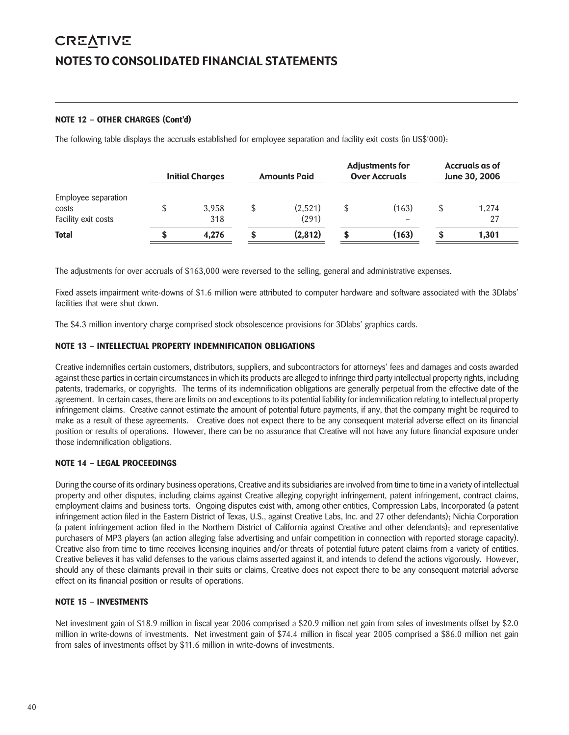# **CREATIVE** NOTES TO CONSOLIDATED FINANCIAL STATEMENTS

# **NOTE 12 – OTHER CHARGES (Cont'd)**

The following table displays the accruals established for employee separation and facility exit costs (in US\$'000):

|                                                     | <b>Initial Charges</b> |   | <b>Amounts Paid</b> | <b>Adjustments for</b><br><b>Over Accruals</b> | Accruals as of<br>June 30, 2006 |
|-----------------------------------------------------|------------------------|---|---------------------|------------------------------------------------|---------------------------------|
| Employee separation<br>costs<br>Facility exit costs | 3.958<br>318           |   | (2,521)<br>(291)    | (163)                                          | 1.274<br>27                     |
| <b>Total</b>                                        | 4.276                  | œ | (2,812)             | (163)                                          | 1.301                           |

The adjustments for over accruals of \$163,000 were reversed to the selling, general and administrative expenses.

Fixed assets impairment write-downs of \$1.6 million were attributed to computer hardware and software associated with the 3Dlabs' facilities that were shut down.

The \$4.3 million inventory charge comprised stock obsolescence provisions for 3Dlabs' graphics cards.

# **NOTE 13 – INTELLECTUAL PROPERTY INDEMNIFICATION OBLIGATIONS**

Creative indemnifies certain customers, distributors, suppliers, and subcontractors for attorneys' fees and damages and costs awarded against these parties in certain circumstances in which its products are alleged to infringe third party intellectual property rights, including patents, trademarks, or copyrights. The terms of its indemnification obligations are generally perpetual from the effective date of the agreement. In certain cases, there are limits on and exceptions to its potential liability for indemnification relating to intellectual property infringement claims. Creative cannot estimate the amount of potential future payments, if any, that the company might be required to make as a result of these agreements. Creative does not expect there to be any consequent material adverse effect on its financial position or results of operations. However, there can be no assurance that Creative will not have any future financial exposure under those indemnification obligations.

# **NOTE 14 – LEGAL PROCEEDINGS**

During the course of its ordinary business operations, Creative and its subsidiaries are involved from time to time in a variety of intellectual property and other disputes, including claims against Creative alleging copyright infringement, patent infringement, contract claims, employment claims and business torts. Ongoing disputes exist with, among other entities, Compression Labs, Incorporated (a patent infringement action filed in the Eastern District of Texas, U.S., against Creative Labs, Inc. and 27 other defendants); Nichia Corporation (a patent infringement action filed in the Northern District of California against Creative and other defendants); and representative purchasers of MP3 players (an action alleging false advertising and unfair competition in connection with reported storage capacity). Creative also from time to time receives licensing inquiries and/or threats of potential future patent claims from a variety of entities. Creative believes it has valid defenses to the various claims asserted against it, and intends to defend the actions vigorously. However, should any of these claimants prevail in their suits or claims, Creative does not expect there to be any consequent material adverse effect on its financial position or results of operations.

# **NOTE 15 – INVESTMENTS**

Net investment gain of \$18.9 million in fiscal year 2006 comprised a \$20.9 million net gain from sales of investments offset by \$2.0 million in write-downs of investments. Net investment gain of \$74.4 million in fiscal year 2005 comprised a \$86.0 million net gain from sales of investments offset by \$11.6 million in write-downs of investments.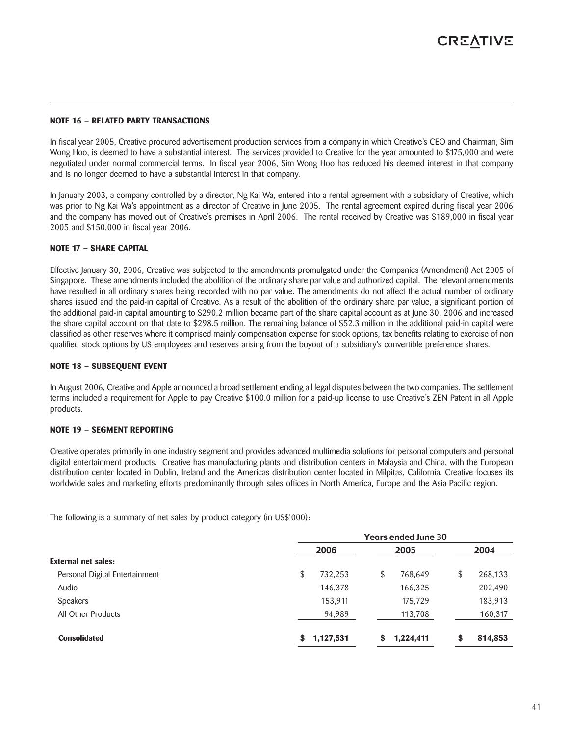### **NOTE 16 – RELATED PARTY TRANSACTIONS**

In fiscal year 2005, Creative procured advertisement production services from a company in which Creative's CEO and Chairman, Sim Wong Hoo, is deemed to have a substantial interest. The services provided to Creative for the year amounted to \$175,000 and were negotiated under normal commercial terms. In fiscal year 2006, Sim Wong Hoo has reduced his deemed interest in that company and is no longer deemed to have a substantial interest in that company.

In January 2003, a company controlled by a director, Ng Kai Wa, entered into a rental agreement with a subsidiary of Creative, which was prior to Ng Kai Wa's appointment as a director of Creative in June 2005. The rental agreement expired during fiscal year 2006 and the company has moved out of Creative's premises in April 2006. The rental received by Creative was \$189,000 in fiscal year 2005 and \$150,000 in fiscal year 2006.

### **NOTE 17 – SHARE CAPITAL**

Effective January 30, 2006, Creative was subjected to the amendments promulgated under the Companies (Amendment) Act 2005 of Singapore. These amendments included the abolition of the ordinary share par value and authorized capital. The relevant amendments have resulted in all ordinary shares being recorded with no par value. The amendments do not affect the actual number of ordinary shares issued and the paid-in capital of Creative. As a result of the abolition of the ordinary share par value, a significant portion of the additional paid-in capital amounting to \$290.2 million became part of the share capital account as at June 30, 2006 and increased the share capital account on that date to \$298.5 million. The remaining balance of \$52.3 million in the additional paid-in capital were classified as other reserves where it comprised mainly compensation expense for stock options, tax benefits relating to exercise of non qualified stock options by US employees and reserves arising from the buyout of a subsidiary's convertible preference shares.

### **NOTE 18 – SUBSEQUENT EVENT**

In August 2006, Creative and Apple announced a broad settlement ending all legal disputes between the two companies. The settlement terms included a requirement for Apple to pay Creative \$100.0 million for a paid-up license to use Creative's ZEN Patent in all Apple products.

### **NOTE 19 – SEGMENT REPORTING**

Creative operates primarily in one industry segment and provides advanced multimedia solutions for personal computers and personal digital entertainment products. Creative has manufacturing plants and distribution centers in Malaysia and China, with the European distribution center located in Dublin, Ireland and the Americas distribution center located in Milpitas, California. Creative focuses its worldwide sales and marketing efforts predominantly through sales offices in North America, Europe and the Asia Pacific region.

The following is a summary of net sales by product category (in US\$'000):

|                                |                | <b>Years ended June 30</b> |    |         |
|--------------------------------|----------------|----------------------------|----|---------|
|                                | 2006           | 2005                       |    | 2004    |
| External net sales:            |                |                            |    |         |
| Personal Digital Entertainment | \$<br>732,253  | \$<br>768,649              | \$ | 268,133 |
| Audio                          | 146,378        | 166,325                    |    | 202,490 |
| <b>Speakers</b>                | 153,911        | 175,729                    |    | 183,913 |
| All Other Products             | 94,989         | 113,708                    |    | 160,317 |
| <b>Consolidated</b>            | 1,127,531<br>S | 1,224,411                  | S  | 814,853 |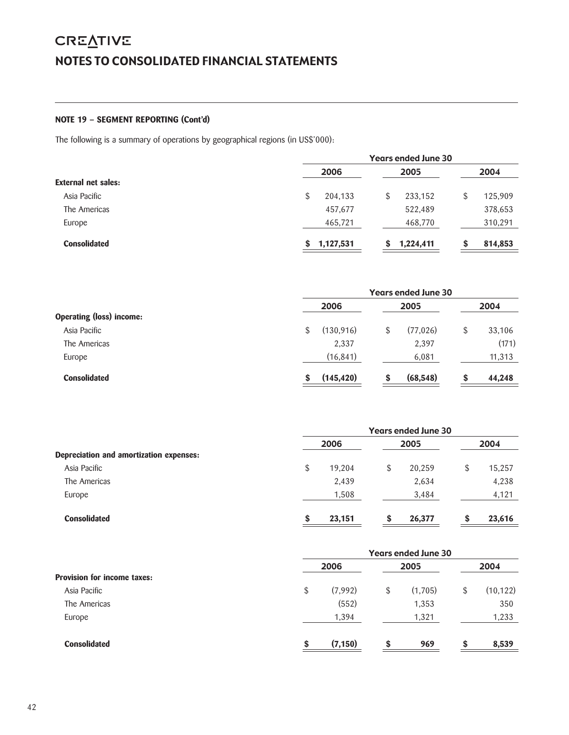# **CREATIVE** NOTES TO CONSOLIDATED FINANCIAL STATEMENTS

# **NOTE 19 – SEGMENT REPORTING (Cont'd)**

The following is a summary of operations by geographical regions (in US\$'000):

|                     | <b>Years ended June 30</b> |               |               |  |  |  |
|---------------------|----------------------------|---------------|---------------|--|--|--|
|                     | 2006                       | 2005          | 2004          |  |  |  |
| External net sales: |                            |               |               |  |  |  |
| Asia Pacific        | 204,133<br>\$              | 233,152<br>\$ | 125,909<br>\$ |  |  |  |
| The Americas        | 457,677                    | 522,489       | 378,653       |  |  |  |
| Europe              | 465,721                    | 468,770       | 310,291       |  |  |  |
| <b>Consolidated</b> | 1,127,531<br>S.            | 1,224,411     | 814,853       |  |  |  |
|                     |                            |               |               |  |  |  |

| 2006             |    | 2005      |    | 2004                       |
|------------------|----|-----------|----|----------------------------|
| (130, 916)<br>\$ | \$ | (77, 026) | \$ | 33,106                     |
| 2,337            |    | 2,397     |    | (171)                      |
| (16, 841)        |    | 6,081     |    | 11,313                     |
| (145, 420)       |    | (68, 548) |    | 44,248                     |
|                  |    |           |    | <b>Years ended June 30</b> |

|                                         |    |        |   | Years ended June 30 |              |
|-----------------------------------------|----|--------|---|---------------------|--------------|
| Depreciation and amortization expenses: |    | 2006   |   | 2005                | 2004         |
| Asia Pacific                            | \$ | 19,204 | S | 20,259              | \$<br>15,257 |
| The Americas                            |    | 2,439  |   | 2,634               | 4,238        |
| Europe                                  |    | 1,508  |   | 3,484               | 4,121        |
| <b>Consolidated</b>                     | S  | 23,151 |   | 26,377              | 23,616       |

|                                    | <b>Years ended June 30</b> |          |    |         |    |           |
|------------------------------------|----------------------------|----------|----|---------|----|-----------|
| <b>Provision for income taxes:</b> |                            | 2006     |    | 2005    |    | 2004      |
| Asia Pacific                       | \$                         | (7,992)  | \$ | (1,705) | \$ | (10, 122) |
| The Americas                       |                            | (552)    |    | 1,353   |    | 350       |
| Europe                             |                            | 1,394    |    | 1,321   |    | 1,233     |
| <b>Consolidated</b>                | S                          | (7, 150) | S  | 969     | S  | 8,539     |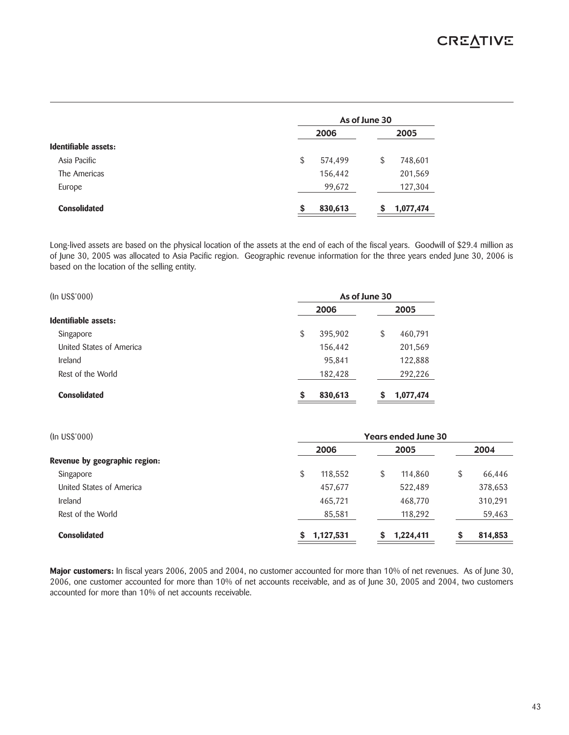|                      |               | As of June 30 |  |  |  |
|----------------------|---------------|---------------|--|--|--|
|                      | 2006          | 2005          |  |  |  |
| Identifiable assets: |               |               |  |  |  |
| Asia Pacific         | \$<br>574,499 | \$<br>748,601 |  |  |  |
| The Americas         | 156,442       | 201,569       |  |  |  |
| Europe               | 99,672        | 127,304       |  |  |  |
| <b>Consolidated</b>  | 830,613<br>S  | 1,077,474     |  |  |  |

Long-lived assets are based on the physical location of the assets at the end of each of the fiscal years. Goodwill of \$29.4 million as of June 30, 2005 was allocated to Asia Pacific region. Geographic revenue information for the three years ended June 30, 2006 is based on the location of the selling entity.

| (In US\$'000)            | As of June 30 |         |    |           |  |
|--------------------------|---------------|---------|----|-----------|--|
|                          |               | 2006    |    | 2005      |  |
| Identifiable assets:     |               |         |    |           |  |
| Singapore                | \$            | 395,902 | \$ | 460,791   |  |
| United States of America |               | 156,442 |    | 201,569   |  |
| <b>Ireland</b>           |               | 95,841  |    | 122,888   |  |
| Rest of the World        |               | 182,428 |    | 292,226   |  |
| <b>Consolidated</b>      | \$            | 830,613 |    | 1,077,474 |  |

| (In USS'000)                  |                | <b>Years ended June 30</b> |               |
|-------------------------------|----------------|----------------------------|---------------|
|                               | 2006           | 2005                       | 2004          |
| Revenue by geographic region: |                |                            |               |
| Singapore                     | \$<br>118,552  | 114,860<br>S               | \$<br>66,446  |
| United States of America      | 457,677        | 522,489                    | 378,653       |
| Ireland                       | 465,721        | 468,770                    | 310,291       |
| Rest of the World             | 85,581         | 118,292                    | 59,463        |
| <b>Consolidated</b>           | 1,127,531<br>S | 1,224,411                  | \$<br>814,853 |

**Major customers:** In fiscal years 2006, 2005 and 2004, no customer accounted for more than 10% of net revenues. As of June 30, 2006, one customer accounted for more than 10% of net accounts receivable, and as of June 30, 2005 and 2004, two customers accounted for more than 10% of net accounts receivable.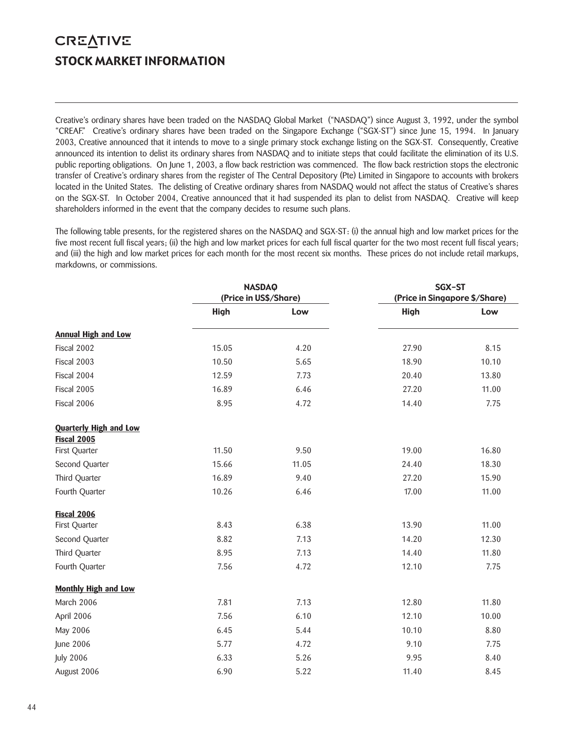# **CREATIVE** STOCK MARKET INFORMATION

Creative's ordinary shares have been traded on the NASDAQ Global Market ("NASDAQ") since August 3, 1992, under the symbol "CREAF." Creative's ordinary shares have been traded on the Singapore Exchange ("SGX-ST") since June 15, 1994. In January 2003, Creative announced that it intends to move to a single primary stock exchange listing on the SGX-ST. Consequently, Creative announced its intention to delist its ordinary shares from NASDAQ and to initiate steps that could facilitate the elimination of its U.S. public reporting obligations. On June 1, 2003, a flow back restriction was commenced. The flow back restriction stops the electronic transfer of Creative's ordinary shares from the register of The Central Depository (Pte) Limited in Singapore to accounts with brokers located in the United States. The delisting of Creative ordinary shares from NASDAQ would not affect the status of Creative's shares on the SGX-ST. In October 2004, Creative announced that it had suspended its plan to delist from NASDAQ. Creative will keep shareholders informed in the event that the company decides to resume such plans.

The following table presents, for the registered shares on the NASDAQ and SGX-ST: (i) the annual high and low market prices for the five most recent full fiscal years; (ii) the high and low market prices for each full fiscal quarter for the two most recent full fiscal years; and (iii) the high and low market prices for each month for the most recent six months. These prices do not include retail markups, markdowns, or commissions.

|                                              | <b>NASDAQ</b> |                       |             | SGX-ST                        |  |  |
|----------------------------------------------|---------------|-----------------------|-------------|-------------------------------|--|--|
|                                              |               | (Price in US\$/Share) |             | (Price in Singapore \$/Share) |  |  |
|                                              | <b>High</b>   | Low                   | <b>High</b> | Low                           |  |  |
| <b>Annual High and Low</b>                   |               |                       |             |                               |  |  |
| Fiscal 2002                                  | 15.05         | 4.20                  | 27.90       | 8.15                          |  |  |
| Fiscal 2003                                  | 10.50         | 5.65                  | 18.90       | 10.10                         |  |  |
| Fiscal 2004                                  | 12.59         | 7.73                  | 20.40       | 13.80                         |  |  |
| Fiscal 2005                                  | 16.89         | 6.46                  | 27.20       | 11.00                         |  |  |
| Fiscal 2006                                  | 8.95          | 4.72                  | 14.40       | 7.75                          |  |  |
| <b>Quarterly High and Low</b><br>Fiscal 2005 |               |                       |             |                               |  |  |
| First Quarter                                | 11.50         | 9.50                  | 19.00       | 16.80                         |  |  |
| Second Quarter                               | 15.66         | 11.05                 | 24.40       | 18.30                         |  |  |
| Third Quarter                                | 16.89         | 9.40                  | 27.20       | 15.90                         |  |  |
| Fourth Quarter                               | 10.26         | 6.46                  | 17.00       | 11.00                         |  |  |
| Fiscal 2006                                  |               |                       |             |                               |  |  |
| First Quarter                                | 8.43          | 6.38                  | 13.90       | 11.00                         |  |  |
| Second Quarter                               | 8.82          | 7.13                  | 14.20       | 12.30                         |  |  |
| Third Quarter                                | 8.95          | 7.13                  | 14.40       | 11.80                         |  |  |
| Fourth Quarter                               | 7.56          | 4.72                  | 12.10       | 7.75                          |  |  |
| <b>Monthly High and Low</b>                  |               |                       |             |                               |  |  |
| March 2006                                   | 7.81          | 7.13                  | 12.80       | 11.80                         |  |  |
| April 2006                                   | 7.56          | 6.10                  | 12.10       | 10.00                         |  |  |
| May 2006                                     | 6.45          | 5.44                  | 10.10       | 8.80                          |  |  |
| June 2006                                    | 5.77          | 4.72                  | 9.10        | 7.75                          |  |  |
| <b>July 2006</b>                             | 6.33          | 5.26                  | 9.95        | 8.40                          |  |  |
| August 2006                                  | 6.90          | 5.22                  | 11.40       | 8.45                          |  |  |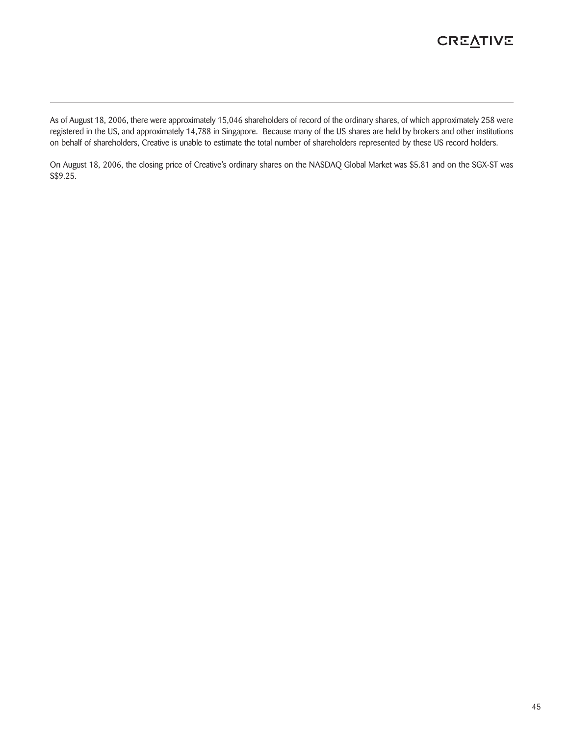# **CREATIVE**

As of August 18, 2006, there were approximately 15,046 shareholders of record of the ordinary shares, of which approximately 258 were registered in the US, and approximately 14,788 in Singapore. Because many of the US shares are held by brokers and other institutions on behalf of shareholders, Creative is unable to estimate the total number of shareholders represented by these US record holders.

On August 18, 2006, the closing price of Creative's ordinary shares on the NASDAQ Global Market was \$5.81 and on the SGX-ST was S\$9.25.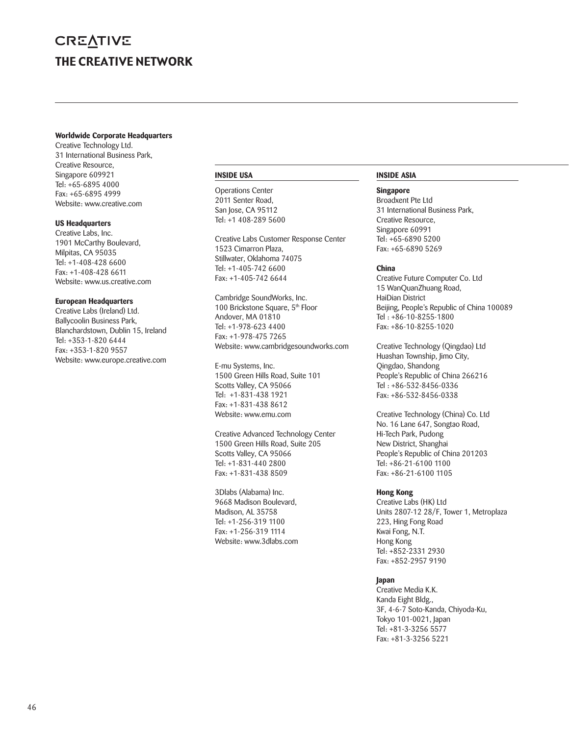# **CREATIVE** THE CREATIVE NETWORK

#### **Worldwide Corporate Headquarters**

Creative Technology Ltd. 31 International Business Park, Creative Resource, Singapore 609921 Tel: +65-6895 4000 Fax: +65-6895 4999 Website: www.creative.com

### **US Headquarters**

Creative Labs, Inc. 1901 McCarthy Boulevard, Milpitas, CA 95035 Tel: +1-408-428 6600 Fax: +1-408-428 6611 Website: www.us.creative.com

#### **European Headquarters**

Creative Labs (Ireland) Ltd. Ballycoolin Business Park, Blanchardstown, Dublin 15, Ireland Tel: +353-1-820 6444 Fax: +353-1-820 9557 Website: www.europe.creative.com

#### **INSIDE USA**

Operations Center 2011 Senter Road, San Jose, CA 95112 Tel: +1 408-289 5600

Creative Labs Customer Response Center 1523 Cimarron Plaza, Stillwater, Oklahoma 74075 Tel: +1-405-742 6600 Fax: +1-405-742 6644

Cambridge SoundWorks, Inc. 100 Brickstone Square, 5<sup>th</sup> Floor Andover, MA 01810 Tel: +1-978-623 4400 Fax: +1-978-475 7265 Website: www.cambridgesoundworks.com

E-mu Systems, Inc. 1500 Green Hills Road, Suite 101 Scotts Valley, CA 95066 Tel: +1-831-438 1921 Fax: +1-831-438 8612 Website: www.emu.com

Creative Advanced Technology Center 1500 Green Hills Road, Suite 205 Scotts Valley, CA 95066 Tel: +1-831-440 2800 Fax: +1-831-438 8509

3Dlabs (Alabama) Inc. 9668 Madison Boulevard, Madison, AL 35758 Tel: +1-256-319 1100 Fax: +1-256-319 1114 Website: www.3dlabs.com

### **INSIDE ASIA**

#### **Singapore**

Broadxent Pte Ltd 31 International Business Park, Creative Resource, Singapore 60991 Tel: +65-6890 5200 Fax: +65-6890 5269

# **China**

Creative Future Computer Co. Ltd 15 WanQuanZhuang Road, HaiDian District Beijing, People's Republic of China 100089 Tel : +86-10-8255-1800 Fax: +86-10-8255-1020

Creative Technology (Qingdao) Ltd Huashan Township, Jimo City, Qingdao, Shandong People's Republic of China 266216 Tel : +86-532-8456-0336 Fax: +86-532-8456-0338

Creative Technology (China) Co. Ltd No. 16 Lane 647, Songtao Road, Hi-Tech Park, Pudong New District, Shanghai People's Republic of China 201203 Tel: +86-21-6100 1100 Fax: +86-21-6100 1105

# **Hong Kong**

Creative Labs (HK) Ltd Units 2807-12 28/F, Tower 1, Metroplaza 223, Hing Fong Road Kwai Fong, N.T. Hong Kong Tel: +852-2331 2930 Fax: +852-2957 9190

# **Japan**

Creative Media K.K. Kanda Eight Bldg., 3F, 4-6-7 Soto-Kanda, Chiyoda-Ku, Tokyo 101-0021, Japan Tel: +81-3-3256 5577 Fax: +81-3-3256 5221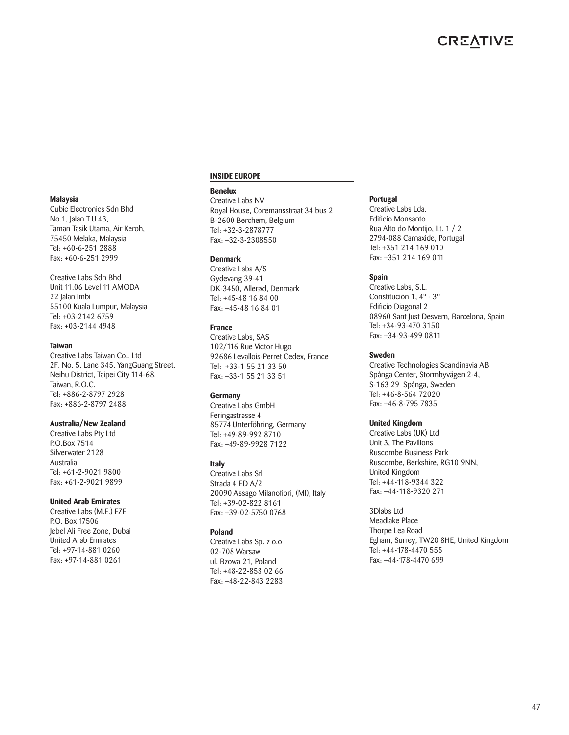#### **Malaysia**

Cubic Electronics Sdn Bhd No.1, Jalan T.U.43, Taman Tasik Utama, Air Keroh, 75450 Melaka, Malaysia Tel: +60-6-251 2888 Fax: +60-6-251 2999

Creative Labs Sdn Bhd Unit 11.06 Level 11 AMODA 22 Jalan Imbi 55100 Kuala Lumpur, Malaysia Tel: +03-2142 6759 Fax: +03-2144 4948

#### **Taiwan**

Creative Labs Taiwan Co., Ltd 2F, No. 5, Lane 345, YangGuang Street, Neihu District, Taipei City 114-68, Taiwan, R.O.C. Tel: +886-2-8797 2928 Fax: +886-2-8797 2488

#### **Australia/New Zealand**

Creative Labs Pty Ltd P.O.Box 7514 Silverwater 2128 Australia Tel: +61-2-9021 9800 Fax: +61-2-9021 9899

#### **United Arab Emirates**

Creative Labs (M.E.) FZE P.O. Box 17506 Jebel Ali Free Zone, Dubai United Arab Emirates Tel: +97-14-881 0260 Fax: +97-14-881 0261

#### **INSIDE EUROPE**

#### **Benelux**

Creative Labs NV Royal House, Coremansstraat 34 bus 2 B-2600 Berchem, Belgium Tel: +32-3-2878777 Fax: +32-3-2308550

#### **Denmark**

Creative Labs A/S Gydevang 39-41 DK-3450, Allerød, Denmark Tel: +45-48 16 84 00 Fax: +45-48 16 84 01

#### **France**

Creative Labs, SAS 102/116 Rue Victor Hugo 92686 Levallois-Perret Cedex, France Tel: +33-1 55 21 33 50 Fax: +33-1 55 21 33 51

### **Germany**

Creative Labs GmbH Feringastrasse 4 85774 Unterföhring, Germany Tel: +49-89-992 8710 Fax: +49-89-9928 7122

### **Italy**

Creative Labs Srl Strada 4 ED A/2 20090 Assago Milanofiori, (MI), Italy Tel: +39-02-822 8161 Fax: +39-02-5750 0768

### **Poland**

Creative Labs Sp. z o.o 02-708 Warsaw ul. Bzowa 21, Poland Tel: +48-22-853 02 66 Fax: +48-22-843 2283

#### **Portugal**

Creative Labs Lda. Edificio Monsanto Rua Alto do Montijo, Lt. 1 / 2 2794-088 Carnaxide, Portugal Tel: +351 214 169 010 Fax: +351 214 169 011

### **Spain**

Creative Labs, S.L. Constitución 1, 4º - 3º Edificio Diagonal 2 08960 Sant Just Desvern, Barcelona, Spain Tel: +34-93-470 3150 Fax: +34-93-499 0811

#### **Sweden**

Creative Technologies Scandinavia AB Spånga Center, Stormbyvägen 2-4, S-163 29 Spånga, Sweden Tel: +46-8-564 72020 Fax: +46-8-795 7835

### **United Kingdom**

Creative Labs (UK) Ltd Unit 3, The Pavilions Ruscombe Business Park Ruscombe, Berkshire, RG10 9NN, United Kingdom Tel: +44-118-9344 322 Fax: +44-118-9320 271

3Dlabs Ltd Meadlake Place Thorpe Lea Road Egham, Surrey, TW20 8HE, United Kingdom Tel: +44-178-4470 555 Fax: +44-178-4470 699